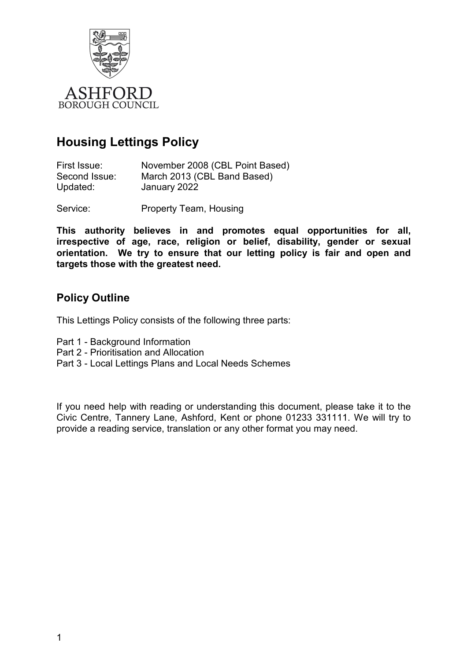

## **Housing Lettings Policy**

| First Issue:  | November 2008 (CBL Point Based) |
|---------------|---------------------------------|
| Second Issue: | March 2013 (CBL Band Based)     |
| Updated:      | January 2022                    |

Service: Property Team, Housing

**This authority believes in and promotes equal opportunities for all, irrespective of age, race, religion or belief, disability, gender or sexual orientation. We try to ensure that our letting policy is fair and open and targets those with the greatest need.** 

### **Policy Outline**

This Lettings Policy consists of the following three parts:

- Part 1 Background Information
- Part 2 Prioritisation and Allocation
- Part 3 Local Lettings Plans and Local Needs Schemes

If you need help with reading or understanding this document, please take it to the Civic Centre, Tannery Lane, Ashford, Kent or phone 01233 331111. We will try to provide a reading service, translation or any other format you may need.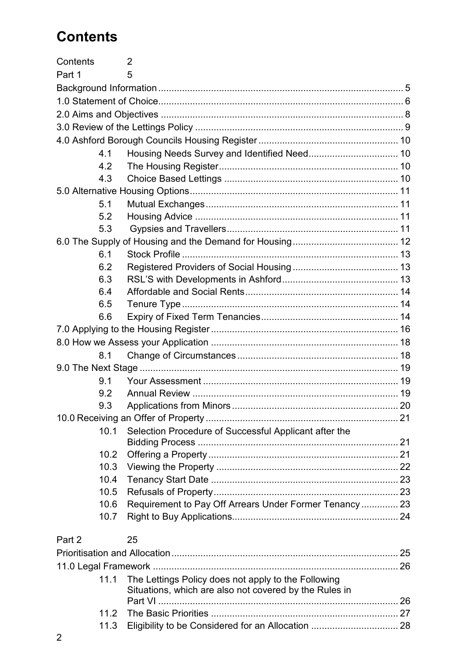# **Contents**

| Contents |      | 2                                                      |  |
|----------|------|--------------------------------------------------------|--|
| Part 1   |      | 5                                                      |  |
|          |      |                                                        |  |
|          |      |                                                        |  |
|          |      |                                                        |  |
|          |      |                                                        |  |
|          |      |                                                        |  |
|          | 4.1  |                                                        |  |
|          | 4.2  |                                                        |  |
|          | 4.3  |                                                        |  |
|          |      |                                                        |  |
|          | 5.1  |                                                        |  |
|          | 5.2  |                                                        |  |
|          | 5.3  |                                                        |  |
|          |      |                                                        |  |
|          | 6.1  |                                                        |  |
|          | 6.2  |                                                        |  |
|          | 6.3  |                                                        |  |
|          | 6.4  |                                                        |  |
|          | 6.5  |                                                        |  |
|          | 6.6  |                                                        |  |
|          |      |                                                        |  |
|          |      |                                                        |  |
|          | 8.1  |                                                        |  |
|          |      |                                                        |  |
|          | 9.1  |                                                        |  |
|          | 9.2  |                                                        |  |
|          | 9.3  |                                                        |  |
|          |      |                                                        |  |
|          | 10.1 | Selection Procedure of Successful Applicant after the  |  |
|          |      |                                                        |  |
|          | 10.2 |                                                        |  |
|          | 10.3 |                                                        |  |
|          | 10.4 |                                                        |  |
|          | 10.5 |                                                        |  |
|          | 10.6 | Requirement to Pay Off Arrears Under Former Tenancy 23 |  |
|          | 10.7 |                                                        |  |
| Part 2   |      | 25                                                     |  |
|          |      |                                                        |  |
|          |      |                                                        |  |
|          | 11.1 | The Lettings Policy does not apply to the Following    |  |
|          |      | Situations, which are also not covered by the Rules in |  |
|          |      |                                                        |  |
|          |      |                                                        |  |

11.3 [Eligibility to be Considered for an Allocation ................................. 28](#page-27-0)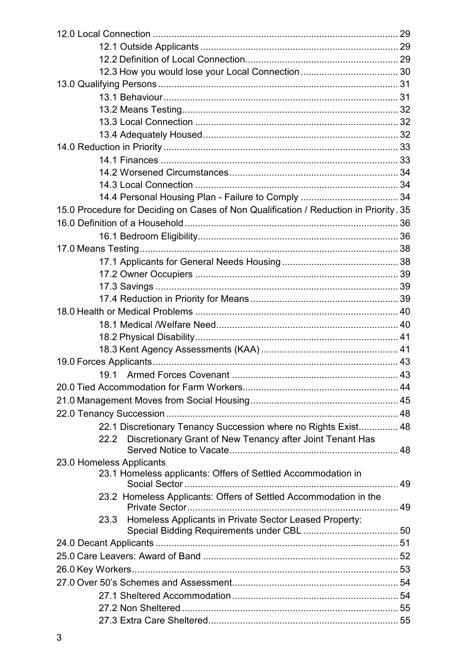| 15.0 Procedure for Deciding on Cases of Non Qualification / Reduction in Priority. 35 |  |
|---------------------------------------------------------------------------------------|--|
|                                                                                       |  |
|                                                                                       |  |
|                                                                                       |  |
|                                                                                       |  |
|                                                                                       |  |
|                                                                                       |  |
|                                                                                       |  |
|                                                                                       |  |
|                                                                                       |  |
|                                                                                       |  |
|                                                                                       |  |
|                                                                                       |  |
|                                                                                       |  |
|                                                                                       |  |
|                                                                                       |  |
|                                                                                       |  |
| 22.1 Discretionary Tenancy Succession where no Rights Exist 48                        |  |
| 22.2 Discretionary Grant of New Tenancy after Joint Tenant Has                        |  |
|                                                                                       |  |
| 23.0 Homeless Applicants                                                              |  |
| 23.1 Homeless applicants: Offers of Settled Accommodation in                          |  |
|                                                                                       |  |
| 23.2 Homeless Applicants: Offers of Settled Accommodation in the                      |  |
| 23.3 Homeless Applicants in Private Sector Leased Property:                           |  |
|                                                                                       |  |
|                                                                                       |  |
|                                                                                       |  |
|                                                                                       |  |
|                                                                                       |  |
|                                                                                       |  |
|                                                                                       |  |
|                                                                                       |  |
|                                                                                       |  |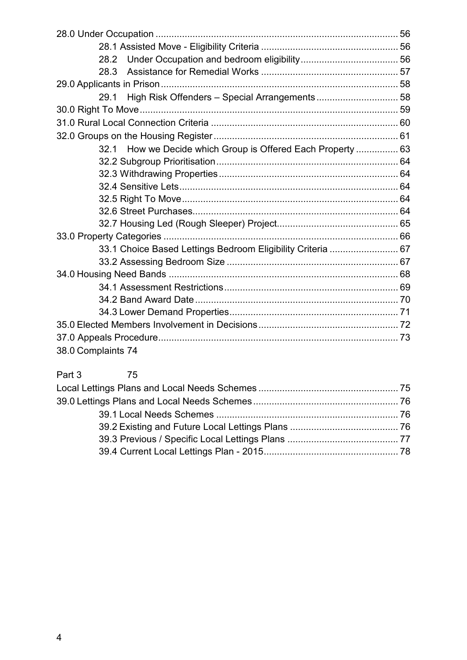| 29.1                                                        |  |
|-------------------------------------------------------------|--|
|                                                             |  |
|                                                             |  |
|                                                             |  |
| 32.1 How we Decide which Group is Offered Each Property  63 |  |
|                                                             |  |
|                                                             |  |
|                                                             |  |
|                                                             |  |
|                                                             |  |
|                                                             |  |
|                                                             |  |
| 33.1 Choice Based Lettings Bedroom Eligibility Criteria  67 |  |
|                                                             |  |
|                                                             |  |
|                                                             |  |
|                                                             |  |
|                                                             |  |
|                                                             |  |
|                                                             |  |
| 38.0 Complaints 74                                          |  |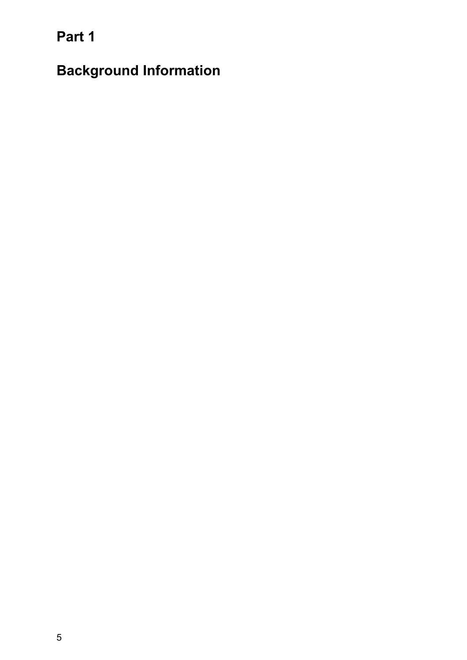<span id="page-4-0"></span>**Part 1** 

**Background Information**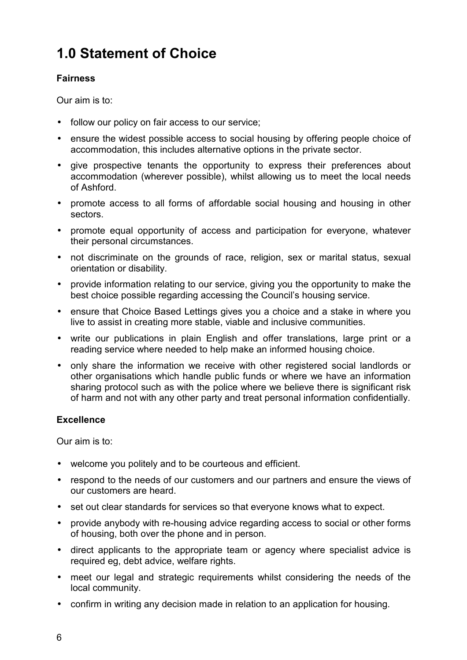# <span id="page-5-0"></span>**1.0 Statement of Choice**

#### **Fairness**

Our aim is to:

- follow our policy on fair access to our service;
- ensure the widest possible access to social housing by offering people choice of accommodation, this includes alternative options in the private sector.
- give prospective tenants the opportunity to express their preferences about accommodation (wherever possible), whilst allowing us to meet the local needs of Ashford.
- promote access to all forms of affordable social housing and housing in other sectors.
- promote equal opportunity of access and participation for everyone, whatever their personal circumstances.
- not discriminate on the grounds of race, religion, sex or marital status, sexual orientation or disability.
- provide information relating to our service, giving you the opportunity to make the best choice possible regarding accessing the Council's housing service.
- ensure that Choice Based Lettings gives you a choice and a stake in where you live to assist in creating more stable, viable and inclusive communities.
- write our publications in plain English and offer translations, large print or a reading service where needed to help make an informed housing choice.
- only share the information we receive with other registered social landlords or other organisations which handle public funds or where we have an information sharing protocol such as with the police where we believe there is significant risk of harm and not with any other party and treat personal information confidentially.

#### **Excellence**

Our aim is to:

- welcome you politely and to be courteous and efficient.
- respond to the needs of our customers and our partners and ensure the views of our customers are heard.
- set out clear standards for services so that everyone knows what to expect.
- provide anybody with re-housing advice regarding access to social or other forms of housing, both over the phone and in person.
- direct applicants to the appropriate team or agency where specialist advice is required eg, debt advice, welfare rights.
- meet our legal and strategic requirements whilst considering the needs of the local community.
- confirm in writing any decision made in relation to an application for housing.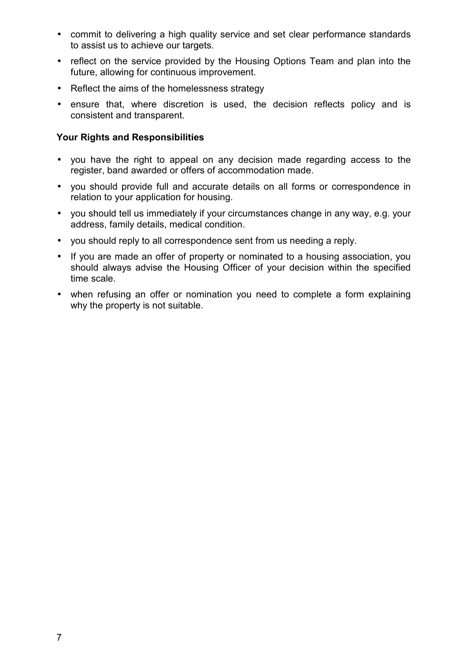- commit to delivering a high quality service and set clear performance standards to assist us to achieve our targets.
- reflect on the service provided by the Housing Options Team and plan into the future, allowing for continuous improvement.
- Reflect the aims of the homelessness strategy
- ensure that, where discretion is used, the decision reflects policy and is consistent and transparent.

#### **Your Rights and Responsibilities**

- you have the right to appeal on any decision made regarding access to the register, band awarded or offers of accommodation made.
- you should provide full and accurate details on all forms or correspondence in relation to your application for housing.
- you should tell us immediately if your circumstances change in any way, e.g. your address, family details, medical condition.
- you should reply to all correspondence sent from us needing a reply.
- If you are made an offer of property or nominated to a housing association, you should always advise the Housing Officer of your decision within the specified time scale.
- when refusing an offer or nomination you need to complete a form explaining why the property is not suitable.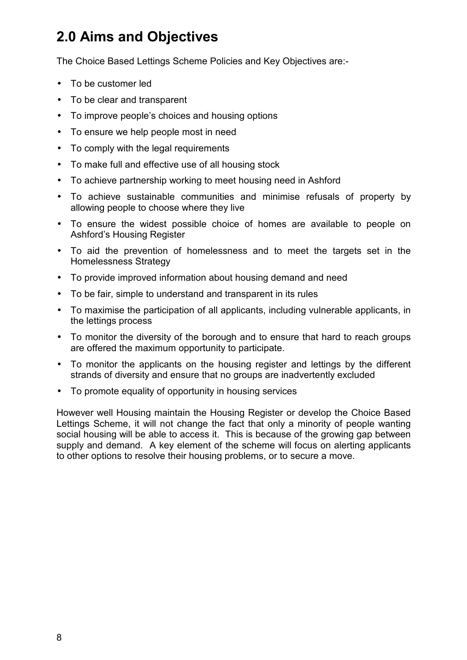# <span id="page-7-0"></span>**2.0 Aims and Objectives**

The Choice Based Lettings Scheme Policies and Key Objectives are:-

- To be customer led
- To be clear and transparent
- To improve people's choices and housing options
- To ensure we help people most in need
- To comply with the legal requirements
- To make full and effective use of all housing stock
- To achieve partnership working to meet housing need in Ashford
- To achieve sustainable communities and minimise refusals of property by allowing people to choose where they live
- To ensure the widest possible choice of homes are available to people on Ashford's Housing Register
- To aid the prevention of homelessness and to meet the targets set in the Homelessness Strategy
- To provide improved information about housing demand and need
- To be fair, simple to understand and transparent in its rules
- To maximise the participation of all applicants, including vulnerable applicants, in the lettings process
- To monitor the diversity of the borough and to ensure that hard to reach groups are offered the maximum opportunity to participate.
- To monitor the applicants on the housing register and lettings by the different strands of diversity and ensure that no groups are inadvertently excluded
- To promote equality of opportunity in housing services

However well Housing maintain the Housing Register or develop the Choice Based Lettings Scheme, it will not change the fact that only a minority of people wanting social housing will be able to access it. This is because of the growing gap between supply and demand. A key element of the scheme will focus on alerting applicants to other options to resolve their housing problems, or to secure a move.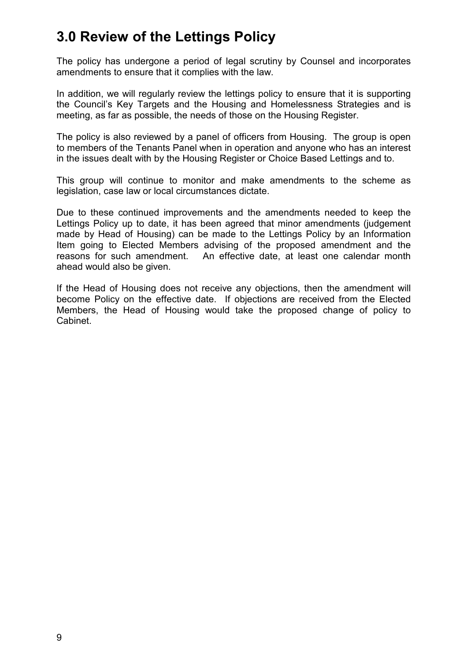## <span id="page-8-0"></span>**3.0 Review of the Lettings Policy**

The policy has undergone a period of legal scrutiny by Counsel and incorporates amendments to ensure that it complies with the law.

In addition, we will regularly review the lettings policy to ensure that it is supporting the Council's Key Targets and the Housing and Homelessness Strategies and is meeting, as far as possible, the needs of those on the Housing Register.

The policy is also reviewed by a panel of officers from Housing. The group is open to members of the Tenants Panel when in operation and anyone who has an interest in the issues dealt with by the Housing Register or Choice Based Lettings and to.

This group will continue to monitor and make amendments to the scheme as legislation, case law or local circumstances dictate.

Due to these continued improvements and the amendments needed to keep the Lettings Policy up to date, it has been agreed that minor amendments (judgement made by Head of Housing) can be made to the Lettings Policy by an Information Item going to Elected Members advising of the proposed amendment and the reasons for such amendment. An effective date, at least one calendar month ahead would also be given.

If the Head of Housing does not receive any objections, then the amendment will become Policy on the effective date. If objections are received from the Elected Members, the Head of Housing would take the proposed change of policy to Cabinet.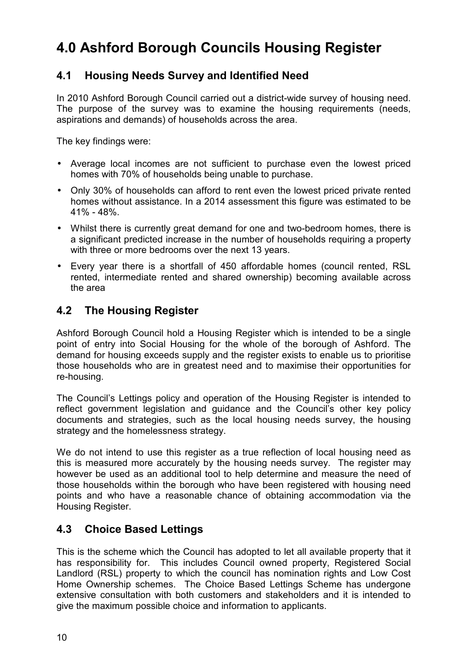# <span id="page-9-0"></span>**4.0 Ashford Borough Councils Housing Register**

### **4.1 Housing Needs Survey and Identified Need**

In 2010 Ashford Borough Council carried out a district-wide survey of housing need. The purpose of the survey was to examine the housing requirements (needs, aspirations and demands) of households across the area.

The key findings were:

- Average local incomes are not sufficient to purchase even the lowest priced homes with 70% of households being unable to purchase.
- Only 30% of households can afford to rent even the lowest priced private rented homes without assistance. In a 2014 assessment this figure was estimated to be 41% - 48%.
- Whilst there is currently great demand for one and two-bedroom homes, there is a significant predicted increase in the number of households requiring a property with three or more bedrooms over the next 13 years.
- Every year there is a shortfall of 450 affordable homes (council rented, RSL rented, intermediate rented and shared ownership) becoming available across the area

### **4.2 The Housing Register**

Ashford Borough Council hold a Housing Register which is intended to be a single point of entry into Social Housing for the whole of the borough of Ashford. The demand for housing exceeds supply and the register exists to enable us to prioritise those households who are in greatest need and to maximise their opportunities for re-housing.

The Council's Lettings policy and operation of the Housing Register is intended to reflect government legislation and guidance and the Council's other key policy documents and strategies, such as the local housing needs survey, the housing strategy and the homelessness strategy.

We do not intend to use this register as a true reflection of local housing need as this is measured more accurately by the housing needs survey. The register may however be used as an additional tool to help determine and measure the need of those households within the borough who have been registered with housing need points and who have a reasonable chance of obtaining accommodation via the Housing Register.

### **4.3 Choice Based Lettings**

This is the scheme which the Council has adopted to let all available property that it has responsibility for. This includes Council owned property, Registered Social Landlord (RSL) property to which the council has nomination rights and Low Cost Home Ownership schemes. The Choice Based Lettings Scheme has undergone extensive consultation with both customers and stakeholders and it is intended to give the maximum possible choice and information to applicants.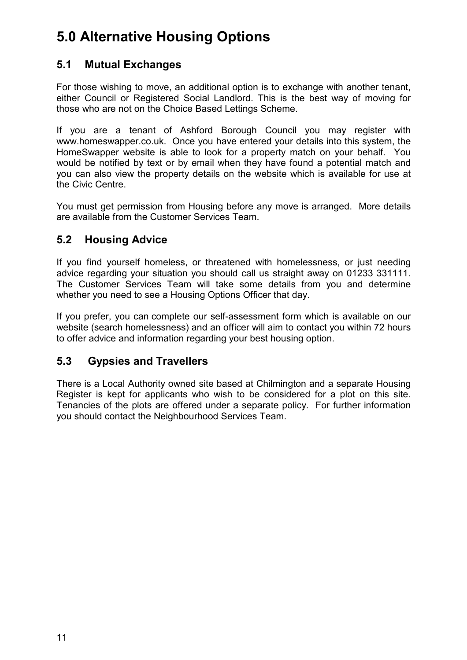# <span id="page-10-0"></span>**5.0 Alternative Housing Options**

## **5.1 Mutual Exchanges**

For those wishing to move, an additional option is to exchange with another tenant, either Council or Registered Social Landlord. This is the best way of moving for those who are not on the Choice Based Lettings Scheme.

If you are a tenant of Ashford Borough Council you may register with [www.homeswapper.co.uk.](http://www.homeswapper.co.uk/) Once you have entered your details into this system, the HomeSwapper website is able to look for a property match on your behalf. You would be notified by text or by email when they have found a potential match and you can also view the property details on the website which is available for use at the Civic Centre.

You must get permission from Housing before any move is arranged. More details are available from the Customer Services Team.

## **5.2 Housing Advice**

If you find yourself homeless, or threatened with homelessness, or just needing advice regarding your situation you should call us straight away on 01233 331111. The Customer Services Team will take some details from you and determine whether you need to see a Housing Options Officer that day.

If you prefer, you can complete our self-assessment form which is available on our website (search homelessness) and an officer will aim to contact you within 72 hours to offer advice and information regarding your best housing option.

## **5.3 Gypsies and Travellers**

There is a Local Authority owned site based at Chilmington and a separate Housing Register is kept for applicants who wish to be considered for a plot on this site. Tenancies of the plots are offered under a separate policy. For further information you should contact the Neighbourhood Services Team.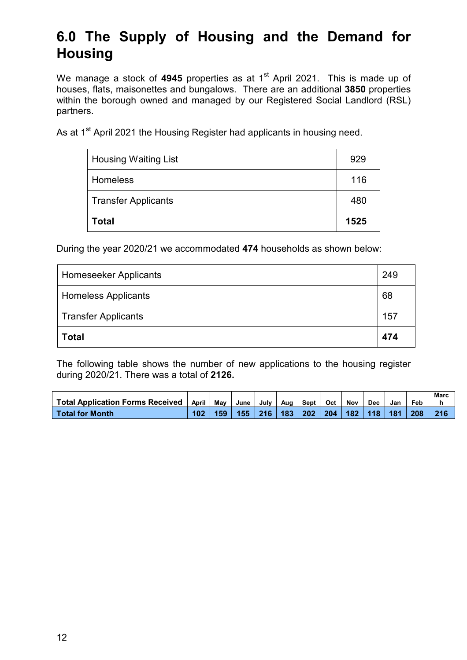# <span id="page-11-0"></span>**6.0 The Supply of Housing and the Demand for Housing**

We manage a stock of 4945 properties as at 1<sup>st</sup> April 2021. This is made up of houses, flats, maisonettes and bungalows. There are an additional **3850** properties within the borough owned and managed by our Registered Social Landlord (RSL) partners.

As at 1<sup>st</sup> April 2021 the Housing Register had applicants in housing need.

| Total                       | 1525 |
|-----------------------------|------|
| <b>Transfer Applicants</b>  | 480  |
| <b>Homeless</b>             | 116  |
| <b>Housing Waiting List</b> | 929  |

During the year 2020/21 we accommodated **474** households as shown below:

| <b>Homeseeker Applicants</b> | 249 |
|------------------------------|-----|
| <b>Homeless Applicants</b>   | 68  |
| <b>Transfer Applicants</b>   | 157 |
| <b>Total</b>                 | 474 |

The following table shows the number of new applications to the housing register during 2020/21. There was a total of **2126.**

|                                         |       |     |      |      |     |      |     |     |            |     |     | Marc |
|-----------------------------------------|-------|-----|------|------|-----|------|-----|-----|------------|-----|-----|------|
| <b>Total Application Forms Received</b> | April | Mav | June | Julv | Aua | Sept | Oct | Nov | <b>Dec</b> | Jan | Feb |      |
| <b>Total for Month</b>                  |       | 159 | 155  | 216  | 183 | 202  | 204 | 182 | 118        | 181 | 208 | 216  |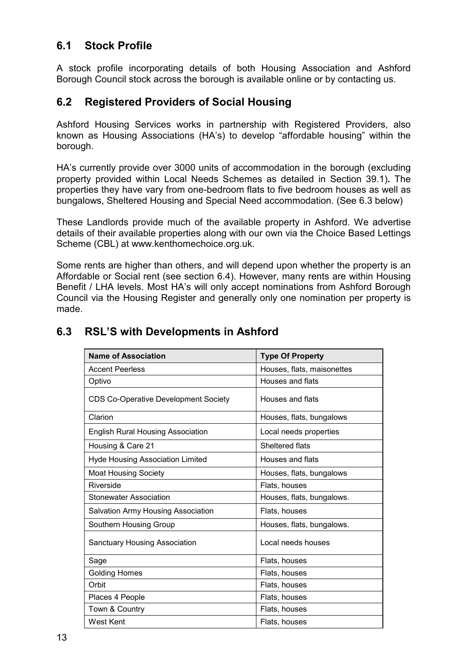### <span id="page-12-0"></span>**6.1 Stock Profile**

A stock profile incorporating details of both Housing Association and Ashford Borough Council stock across the borough is available online or by contacting us.

#### **6.2 Registered Providers of Social Housing**

Ashford Housing Services works in partnership with Registered Providers, also known as Housing Associations (HA's) to develop "affordable housing" within the borough.

HA's currently provide over 3000 units of accommodation in the borough (excluding property provided within Local Needs Schemes as detailed in Section 39.1)**.** The properties they have vary from one-bedroom flats to five bedroom houses as well as bungalows, Sheltered Housing and Special Need accommodation. (See 6.3 below)

These Landlords provide much of the available property in Ashford. We advertise details of their available properties along with our own via the Choice Based Lettings Scheme (CBL) at www.kenthomechoice.org.uk.

Some rents are higher than others, and will depend upon whether the property is an Affordable or Social rent (see section 6.4). However, many rents are within Housing Benefit / LHA levels. Most HA's will only accept nominations from Ashford Borough Council via the Housing Register and generally only one nomination per property is made.

| <b>Name of Association</b>                  | <b>Type Of Property</b>    |
|---------------------------------------------|----------------------------|
| <b>Accent Peerless</b>                      | Houses, flats, maisonettes |
| Optivo                                      | Houses and flats           |
| <b>CDS Co-Operative Development Society</b> | Houses and flats           |
| Clarion                                     | Houses, flats, bungalows   |
| <b>English Rural Housing Association</b>    | Local needs properties     |
| Housing & Care 21                           | Sheltered flats            |
| <b>Hyde Housing Association Limited</b>     | Houses and flats           |
| <b>Moat Housing Society</b>                 | Houses, flats, bungalows   |
| Riverside                                   | Flats, houses              |
| <b>Stonewater Association</b>               | Houses, flats, bungalows.  |
| Salvation Army Housing Association          | Flats, houses              |
| Southern Housing Group                      | Houses, flats, bungalows.  |
| <b>Sanctuary Housing Association</b>        | Local needs houses         |
| Sage                                        | Flats, houses              |
| <b>Golding Homes</b>                        | Flats, houses              |
| Orbit                                       | Flats, houses              |
| Places 4 People                             | Flats, houses              |
| Town & Country                              | Flats, houses              |
| <b>West Kent</b>                            | Flats, houses              |

#### **6.3 RSL'S with Developments in Ashford**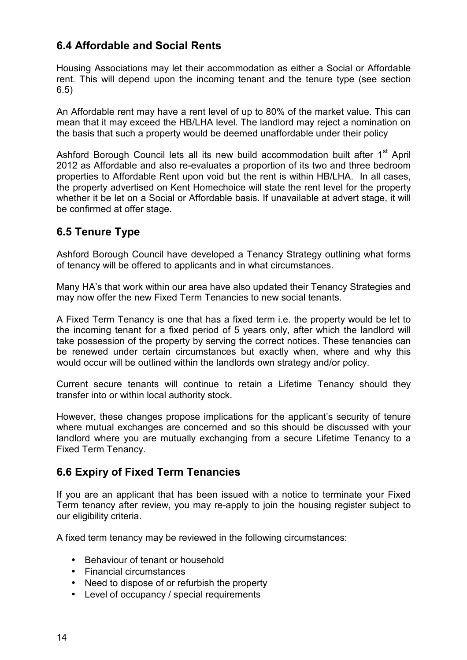## <span id="page-13-0"></span>**6.4 Affordable and Social Rents**

Housing Associations may let their accommodation as either a Social or Affordable rent. This will depend upon the incoming tenant and the tenure type (see section 6.5)

An Affordable rent may have a rent level of up to 80% of the market value. This can mean that it may exceed the HB/LHA level. The landlord may reject a nomination on the basis that such a property would be deemed unaffordable under their policy

Ashford Borough Council lets all its new build accommodation built after 1<sup>st</sup> April 2012 as Affordable and also re-evaluates a proportion of its two and three bedroom properties to Affordable Rent upon void but the rent is within HB/LHA. In all cases, the property advertised on Kent Homechoice will state the rent level for the property whether it be let on a Social or Affordable basis. If unavailable at advert stage, it will be confirmed at offer stage.

### **6.5 Tenure Type**

Ashford Borough Council have developed a Tenancy Strategy outlining what forms of tenancy will be offered to applicants and in what circumstances.

Many HA's that work within our area have also updated their Tenancy Strategies and may now offer the new Fixed Term Tenancies to new social tenants.

A Fixed Term Tenancy is one that has a fixed term i.e. the property would be let to the incoming tenant for a fixed period of 5 years only, after which the landlord will take possession of the property by serving the correct notices. These tenancies can be renewed under certain circumstances but exactly when, where and why this would occur will be outlined within the landlords own strategy and/or policy.

Current secure tenants will continue to retain a Lifetime Tenancy should they transfer into or within local authority stock.

However, these changes propose implications for the applicant's security of tenure where mutual exchanges are concerned and so this should be discussed with your landlord where you are mutually exchanging from a secure Lifetime Tenancy to a Fixed Term Tenancy.

### **6.6 Expiry of Fixed Term Tenancies**

If you are an applicant that has been issued with a notice to terminate your Fixed Term tenancy after review, you may re-apply to join the housing register subject to our eligibility criteria.

A fixed term tenancy may be reviewed in the following circumstances:

- Behaviour of tenant or household
- Financial circumstances
- Need to dispose of or refurbish the property
- Level of occupancy / special requirements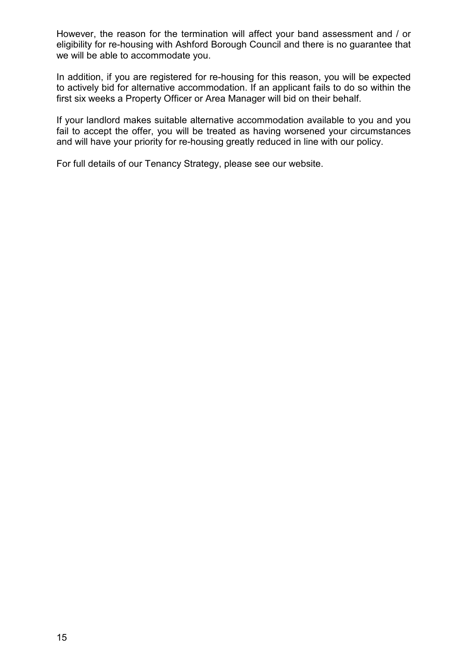However, the reason for the termination will affect your band assessment and / or eligibility for re-housing with Ashford Borough Council and there is no guarantee that we will be able to accommodate you.

In addition, if you are registered for re-housing for this reason, you will be expected to actively bid for alternative accommodation. If an applicant fails to do so within the first six weeks a Property Officer or Area Manager will bid on their behalf.

If your landlord makes suitable alternative accommodation available to you and you fail to accept the offer, you will be treated as having worsened your circumstances and will have your priority for re-housing greatly reduced in line with our policy.

For full details of our Tenancy Strategy, please see our website.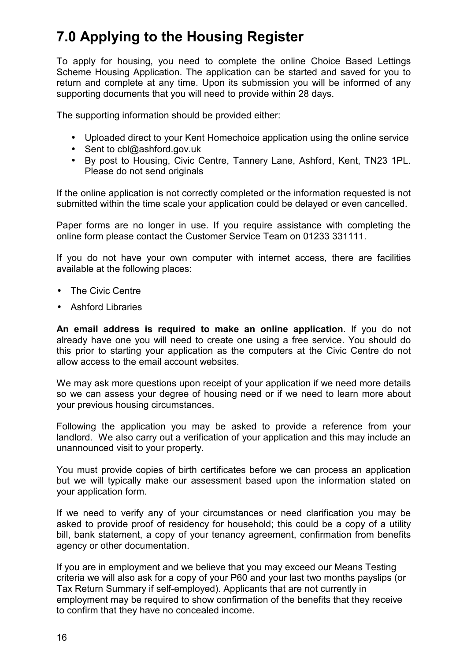# <span id="page-15-0"></span>**7.0 Applying to the Housing Register**

To apply for housing, you need to complete the online Choice Based Lettings Scheme Housing Application. The application can be started and saved for you to return and complete at any time. Upon its submission you will be informed of any supporting documents that you will need to provide within 28 days.

The supporting information should be provided either:

- Uploaded direct to your Kent Homechoice application using the online service
- Sent to cbl@ashford.gov.uk
- By post to Housing, Civic Centre, Tannery Lane, Ashford, Kent, TN23 1PL. Please do not send originals

If the online application is not correctly completed or the information requested is not submitted within the time scale your application could be delayed or even cancelled.

Paper forms are no longer in use. If you require assistance with completing the online form please contact the Customer Service Team on 01233 331111.

If you do not have your own computer with internet access, there are facilities available at the following places:

- The Civic Centre
- Ashford Libraries

**An email address is required to make an online application**. If you do not already have one you will need to create one using a free service. You should do this prior to starting your application as the computers at the Civic Centre do not allow access to the email account websites.

We may ask more questions upon receipt of your application if we need more details so we can assess your degree of housing need or if we need to learn more about your previous housing circumstances.

Following the application you may be asked to provide a reference from your landlord. We also carry out a verification of your application and this may include an unannounced visit to your property.

You must provide copies of birth certificates before we can process an application but we will typically make our assessment based upon the information stated on your application form.

If we need to verify any of your circumstances or need clarification you may be asked to provide proof of residency for household; this could be a copy of a utility bill, bank statement, a copy of your tenancy agreement, confirmation from benefits agency or other documentation.

If you are in employment and we believe that you may exceed our Means Testing criteria we will also ask for a copy of your P60 and your last two months payslips (or Tax Return Summary if self-employed). Applicants that are not currently in employment may be required to show confirmation of the benefits that they receive to confirm that they have no concealed income.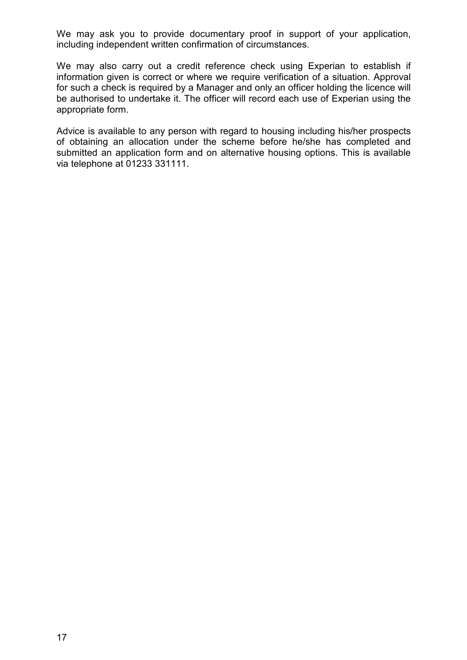We may ask you to provide documentary proof in support of your application, including independent written confirmation of circumstances.

We may also carry out a credit reference check using Experian to establish if information given is correct or where we require verification of a situation. Approval for such a check is required by a Manager and only an officer holding the licence will be authorised to undertake it. The officer will record each use of Experian using the appropriate form.

Advice is available to any person with regard to housing including his/her prospects of obtaining an allocation under the scheme before he/she has completed and submitted an application form and on alternative housing options. This is available via telephone at 01233 331111.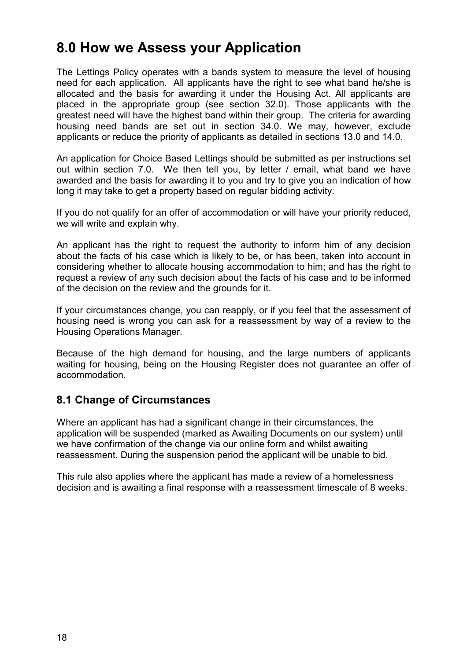## <span id="page-17-0"></span>**8.0 How we Assess your Application**

The Lettings Policy operates with a bands system to measure the level of housing need for each application. All applicants have the right to see what band he/she is allocated and the basis for awarding it under the Housing Act. All applicants are placed in the appropriate group (see section 32.0). Those applicants with the greatest need will have the highest band within their group. The criteria for awarding housing need bands are set out in section 34.0. We may, however, exclude applicants or reduce the priority of applicants as detailed in sections 13.0 and 14.0.

An application for Choice Based Lettings should be submitted as per instructions set out within section 7.0. We then tell you, by letter / email, what band we have awarded and the basis for awarding it to you and try to give you an indication of how long it may take to get a property based on regular bidding activity.

If you do not qualify for an offer of accommodation or will have your priority reduced, we will write and explain why.

An applicant has the right to request the authority to inform him of any decision about the facts of his case which is likely to be, or has been, taken into account in considering whether to allocate housing accommodation to him; and has the right to request a review of any such decision about the facts of his case and to be informed of the decision on the review and the grounds for it.

If your circumstances change, you can reapply, or if you feel that the assessment of housing need is wrong you can ask for a reassessment by way of a review to the Housing Operations Manager.

Because of the high demand for housing, and the large numbers of applicants waiting for housing, being on the Housing Register does not guarantee an offer of accommodation.

#### **8.1 Change of Circumstances**

Where an applicant has had a significant change in their circumstances, the application will be suspended (marked as Awaiting Documents on our system) until we have confirmation of the change via our online form and whilst awaiting reassessment. During the suspension period the applicant will be unable to bid.

This rule also applies where the applicant has made a review of a homelessness decision and is awaiting a final response with a reassessment timescale of 8 weeks.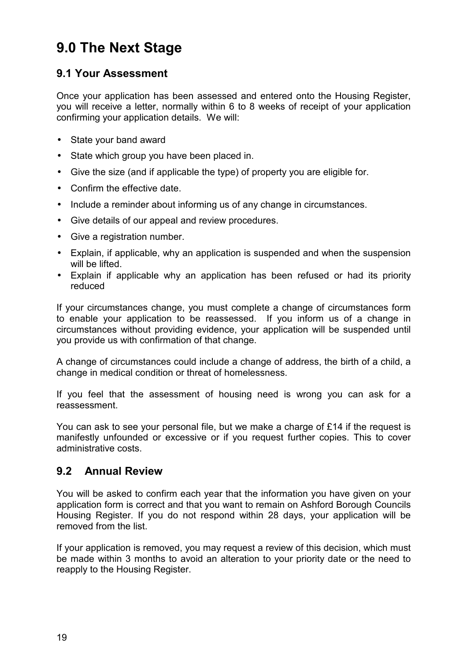# <span id="page-18-0"></span>**9.0 The Next Stage**

## **9.1 Your Assessment**

Once your application has been assessed and entered onto the Housing Register, you will receive a letter, normally within 6 to 8 weeks of receipt of your application confirming your application details. We will:

- State your band award
- State which group you have been placed in.
- Give the size (and if applicable the type) of property you are eligible for.
- Confirm the effective date.
- Include a reminder about informing us of any change in circumstances.
- Give details of our appeal and review procedures.
- Give a registration number.
- Explain, if applicable, why an application is suspended and when the suspension will be lifted.
- Explain if applicable why an application has been refused or had its priority reduced

If your circumstances change, you must complete a change of circumstances form to enable your application to be reassessed. If you inform us of a change in circumstances without providing evidence, your application will be suspended until you provide us with confirmation of that change.

A change of circumstances could include a change of address, the birth of a child, a change in medical condition or threat of homelessness.

If you feel that the assessment of housing need is wrong you can ask for a reassessment.

You can ask to see your personal file, but we make a charge of £14 if the request is manifestly unfounded or excessive or if you request further copies. This to cover administrative costs.

### **9.2 Annual Review**

You will be asked to confirm each year that the information you have given on your application form is correct and that you want to remain on Ashford Borough Councils Housing Register. If you do not respond within 28 days, your application will be removed from the list.

If your application is removed, you may request a review of this decision, which must be made within 3 months to avoid an alteration to your priority date or the need to reapply to the Housing Register.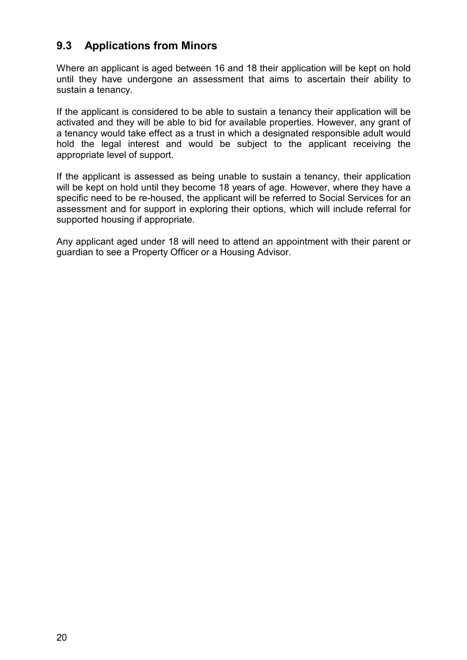### <span id="page-19-0"></span>**9.3 Applications from Minors**

Where an applicant is aged between 16 and 18 their application will be kept on hold until they have undergone an assessment that aims to ascertain their ability to sustain a tenancy.

If the applicant is considered to be able to sustain a tenancy their application will be activated and they will be able to bid for available properties. However, any grant of a tenancy would take effect as a trust in which a designated responsible adult would hold the legal interest and would be subject to the applicant receiving the appropriate level of support.

If the applicant is assessed as being unable to sustain a tenancy, their application will be kept on hold until they become 18 years of age. However, where they have a specific need to be re-housed, the applicant will be referred to Social Services for an assessment and for support in exploring their options, which will include referral for supported housing if appropriate.

Any applicant aged under 18 will need to attend an appointment with their parent or guardian to see a Property Officer or a Housing Advisor.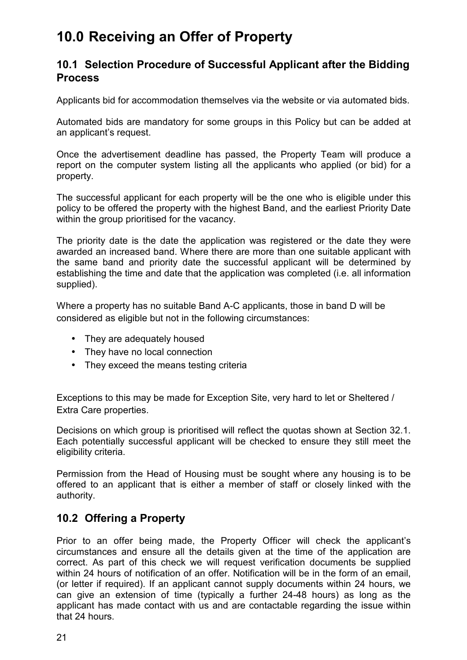# <span id="page-20-0"></span>**10.0 Receiving an Offer of Property**

#### **10.1 Selection Procedure of Successful Applicant after the Bidding Process**

Applicants bid for accommodation themselves via the website or via automated bids.

Automated bids are mandatory for some groups in this Policy but can be added at an applicant's request.

Once the advertisement deadline has passed, the Property Team will produce a report on the computer system listing all the applicants who applied (or bid) for a property.

The successful applicant for each property will be the one who is eligible under this policy to be offered the property with the highest Band, and the earliest Priority Date within the group prioritised for the vacancy.

The priority date is the date the application was registered or the date they were awarded an increased band. Where there are more than one suitable applicant with the same band and priority date the successful applicant will be determined by establishing the time and date that the application was completed (i.e. all information supplied).

Where a property has no suitable Band A-C applicants, those in band D will be considered as eligible but not in the following circumstances:

- They are adequately housed
- They have no local connection
- They exceed the means testing criteria

Exceptions to this may be made for Exception Site, very hard to let or Sheltered / Extra Care properties.

Decisions on which group is prioritised will reflect the quotas shown at Section 32.1. Each potentially successful applicant will be checked to ensure they still meet the eligibility criteria.

Permission from the Head of Housing must be sought where any housing is to be offered to an applicant that is either a member of staff or closely linked with the authority.

## **10.2 Offering a Property**

Prior to an offer being made, the Property Officer will check the applicant's circumstances and ensure all the details given at the time of the application are correct. As part of this check we will request verification documents be supplied within 24 hours of notification of an offer. Notification will be in the form of an email, (or letter if required). If an applicant cannot supply documents within 24 hours, we can give an extension of time (typically a further 24-48 hours) as long as the applicant has made contact with us and are contactable regarding the issue within that 24 hours.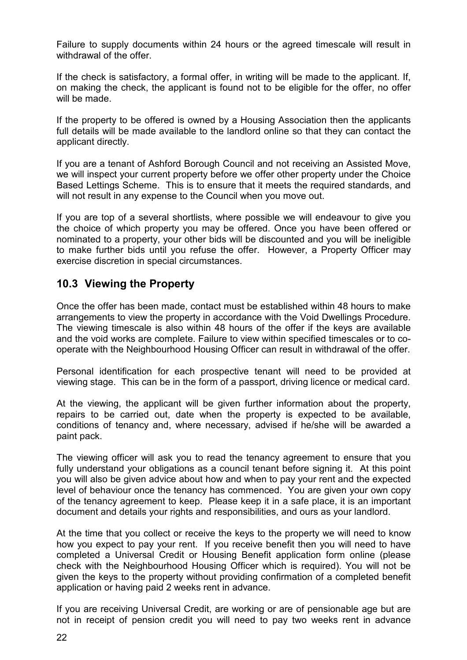<span id="page-21-0"></span>Failure to supply documents within 24 hours or the agreed timescale will result in withdrawal of the offer.

If the check is satisfactory, a formal offer, in writing will be made to the applicant. If, on making the check, the applicant is found not to be eligible for the offer, no offer will be made.

If the property to be offered is owned by a Housing Association then the applicants full details will be made available to the landlord online so that they can contact the applicant directly.

If you are a tenant of Ashford Borough Council and not receiving an Assisted Move, we will inspect your current property before we offer other property under the Choice Based Lettings Scheme. This is to ensure that it meets the required standards, and will not result in any expense to the Council when you move out.

If you are top of a several shortlists, where possible we will endeavour to give you the choice of which property you may be offered. Once you have been offered or nominated to a property, your other bids will be discounted and you will be ineligible to make further bids until you refuse the offer. However, a Property Officer may exercise discretion in special circumstances.

### **10.3 Viewing the Property**

Once the offer has been made, contact must be established within 48 hours to make arrangements to view the property in accordance with the Void Dwellings Procedure. The viewing timescale is also within 48 hours of the offer if the keys are available and the void works are complete. Failure to view within specified timescales or to cooperate with the Neighbourhood Housing Officer can result in withdrawal of the offer.

Personal identification for each prospective tenant will need to be provided at viewing stage. This can be in the form of a passport, driving licence or medical card.

At the viewing, the applicant will be given further information about the property, repairs to be carried out, date when the property is expected to be available, conditions of tenancy and, where necessary, advised if he/she will be awarded a paint pack.

The viewing officer will ask you to read the tenancy agreement to ensure that you fully understand your obligations as a council tenant before signing it. At this point you will also be given advice about how and when to pay your rent and the expected level of behaviour once the tenancy has commenced. You are given your own copy of the tenancy agreement to keep. Please keep it in a safe place, it is an important document and details your rights and responsibilities, and ours as your landlord.

At the time that you collect or receive the keys to the property we will need to know how you expect to pay your rent. If you receive benefit then you will need to have completed a Universal Credit or Housing Benefit application form online (please check with the Neighbourhood Housing Officer which is required). You will not be given the keys to the property without providing confirmation of a completed benefit application or having paid 2 weeks rent in advance.

If you are receiving Universal Credit, are working or are of pensionable age but are not in receipt of pension credit you will need to pay two weeks rent in advance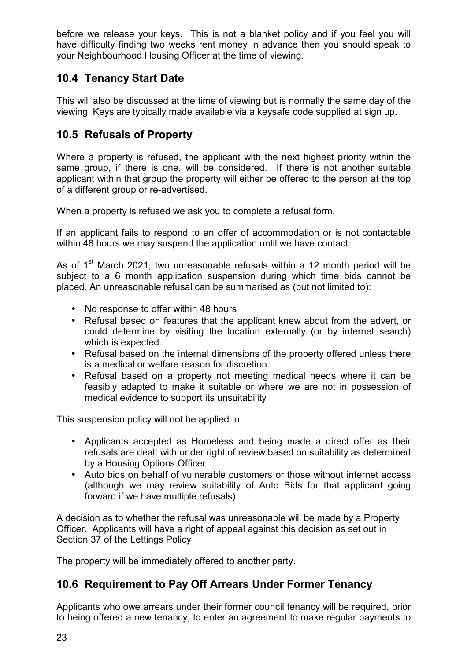<span id="page-22-0"></span>before we release your keys. This is not a blanket policy and if you feel you will have difficulty finding two weeks rent money in advance then you should speak to your Neighbourhood Housing Officer at the time of viewing.

## **10.4 Tenancy Start Date**

This will also be discussed at the time of viewing but is normally the same day of the viewing. Keys are typically made available via a keysafe code supplied at sign up.

## **10.5 Refusals of Property**

Where a property is refused, the applicant with the next highest priority within the same group, if there is one, will be considered. If there is not another suitable applicant within that group the property will either be offered to the person at the top of a different group or re-advertised.

When a property is refused we ask you to complete a refusal form.

If an applicant fails to respond to an offer of accommodation or is not contactable within 48 hours we may suspend the application until we have contact.

As of 1<sup>st</sup> March 2021, two unreasonable refusals within a 12 month period will be subject to a 6 month application suspension during which time bids cannot be placed. An unreasonable refusal can be summarised as (but not limited to):

- No response to offer within 48 hours
- Refusal based on features that the applicant knew about from the advert, or could determine by visiting the location externally (or by internet search) which is expected.
- Refusal based on the internal dimensions of the property offered unless there is a medical or welfare reason for discretion.
- Refusal based on a property not meeting medical needs where it can be feasibly adapted to make it suitable or where we are not in possession of medical evidence to support its unsuitability

This suspension policy will not be applied to:

- Applicants accepted as Homeless and being made a direct offer as their refusals are dealt with under right of review based on suitability as determined by a Housing Options Officer
- Auto bids on behalf of vulnerable customers or those without internet access (although we may review suitability of Auto Bids for that applicant going forward if we have multiple refusals)

A decision as to whether the refusal was unreasonable will be made by a Property Officer. Applicants will have a right of appeal against this decision as set out in Section 37 of the Lettings Policy

The property will be immediately offered to another party.

### **10.6 Requirement to Pay Off Arrears Under Former Tenancy**

Applicants who owe arrears under their former council tenancy will be required, prior to being offered a new tenancy, to enter an agreement to make regular payments to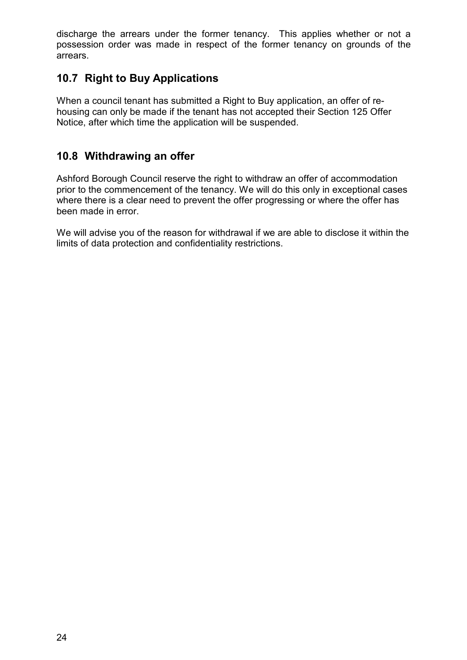<span id="page-23-0"></span>discharge the arrears under the former tenancy. This applies whether or not a possession order was made in respect of the former tenancy on grounds of the arrears.

## **10.7 Right to Buy Applications**

When a council tenant has submitted a Right to Buy application, an offer of rehousing can only be made if the tenant has not accepted their Section 125 Offer Notice, after which time the application will be suspended.

### **10.8 Withdrawing an offer**

Ashford Borough Council reserve the right to withdraw an offer of accommodation prior to the commencement of the tenancy. We will do this only in exceptional cases where there is a clear need to prevent the offer progressing or where the offer has been made in error.

We will advise you of the reason for withdrawal if we are able to disclose it within the limits of data protection and confidentiality restrictions.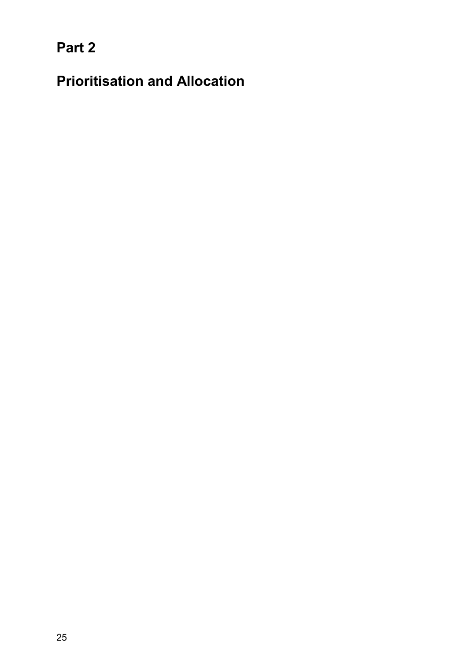<span id="page-24-0"></span>**Part 2** 

**Prioritisation and Allocation**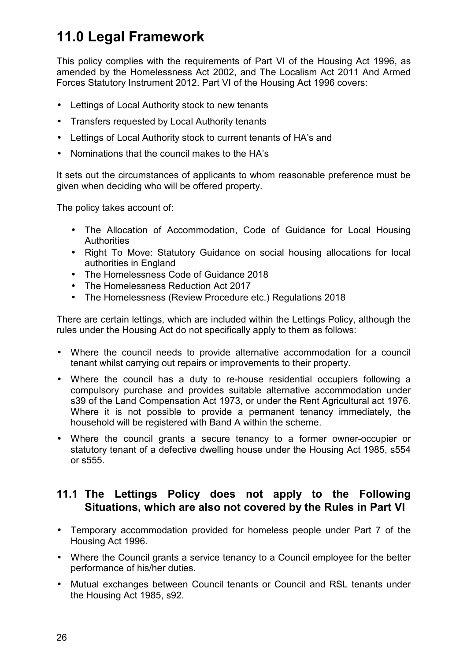# <span id="page-25-0"></span>**11.0 Legal Framework**

This policy complies with the requirements of Part VI of the Housing Act 1996, as amended by the Homelessness Act 2002, and The Localism Act 2011 And Armed Forces Statutory Instrument 2012. Part VI of the Housing Act 1996 covers:

- Lettings of Local Authority stock to new tenants
- Transfers requested by Local Authority tenants
- Lettings of Local Authority stock to current tenants of HA's and
- Nominations that the council makes to the HA's

It sets out the circumstances of applicants to whom reasonable preference must be given when deciding who will be offered property.

The policy takes account of:

- The Allocation of Accommodation, Code of Guidance for Local Housing **Authorities**
- Right To Move: Statutory Guidance on social housing allocations for local authorities in England
- The Homelessness Code of Guidance 2018
- The Homelessness Reduction Act 2017
- The Homelessness (Review Procedure etc.) Regulations 2018

There are certain lettings, which are included within the Lettings Policy, although the rules under the Housing Act do not specifically apply to them as follows:

- Where the council needs to provide alternative accommodation for a council tenant whilst carrying out repairs or improvements to their property.
- Where the council has a duty to re-house residential occupiers following a compulsory purchase and provides suitable alternative accommodation under s39 of the Land Compensation Act 1973, or under the Rent Agricultural act 1976. Where it is not possible to provide a permanent tenancy immediately, the household will be registered with Band A within the scheme.
- Where the council grants a secure tenancy to a former owner-occupier or statutory tenant of a defective dwelling house under the Housing Act 1985, s554 or s555.

### **11.1 The Lettings Policy does not apply to the Following Situations, which are also not covered by the Rules in Part VI**

- Temporary accommodation provided for homeless people under Part 7 of the Housing Act 1996.
- Where the Council grants a service tenancy to a Council employee for the better performance of his/her duties.
- Mutual exchanges between Council tenants or Council and RSL tenants under the Housing Act 1985, s92.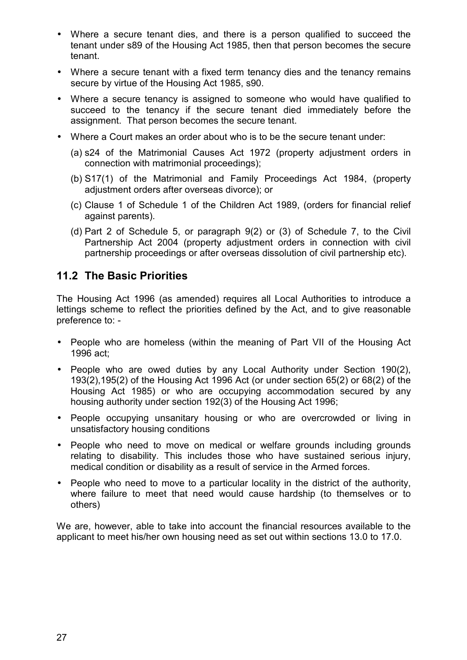- <span id="page-26-0"></span>• Where a secure tenant dies, and there is a person qualified to succeed the tenant under s89 of the Housing Act 1985, then that person becomes the secure tenant.
- Where a secure tenant with a fixed term tenancy dies and the tenancy remains secure by virtue of the Housing Act 1985, s90.
- Where a secure tenancy is assigned to someone who would have qualified to succeed to the tenancy if the secure tenant died immediately before the assignment. That person becomes the secure tenant.
- Where a Court makes an order about who is to be the secure tenant under:
	- (a) s24 of the Matrimonial Causes Act 1972 (property adjustment orders in connection with matrimonial proceedings);
	- (b) S17(1) of the Matrimonial and Family Proceedings Act 1984, (property adjustment orders after overseas divorce); or
	- (c) Clause 1 of Schedule 1 of the Children Act 1989, (orders for financial relief against parents).
	- (d) Part 2 of Schedule 5, or paragraph 9(2) or (3) of Schedule 7, to the Civil Partnership Act 2004 (property adjustment orders in connection with civil partnership proceedings or after overseas dissolution of civil partnership etc).

### **11.2 The Basic Priorities**

The Housing Act 1996 (as amended) requires all Local Authorities to introduce a lettings scheme to reflect the priorities defined by the Act, and to give reasonable preference to: -

- People who are homeless (within the meaning of Part VII of the Housing Act 1996 act;
- People who are owed duties by any Local Authority under Section 190(2), 193(2),195(2) of the Housing Act 1996 Act (or under section 65(2) or 68(2) of the Housing Act 1985) or who are occupying accommodation secured by any housing authority under section 192(3) of the Housing Act 1996;
- People occupying unsanitary housing or who are overcrowded or living in unsatisfactory housing conditions
- People who need to move on medical or welfare grounds including grounds relating to disability. This includes those who have sustained serious injury, medical condition or disability as a result of service in the Armed forces.
- People who need to move to a particular locality in the district of the authority, where failure to meet that need would cause hardship (to themselves or to others)

We are, however, able to take into account the financial resources available to the applicant to meet his/her own housing need as set out within sections 13.0 to 17.0.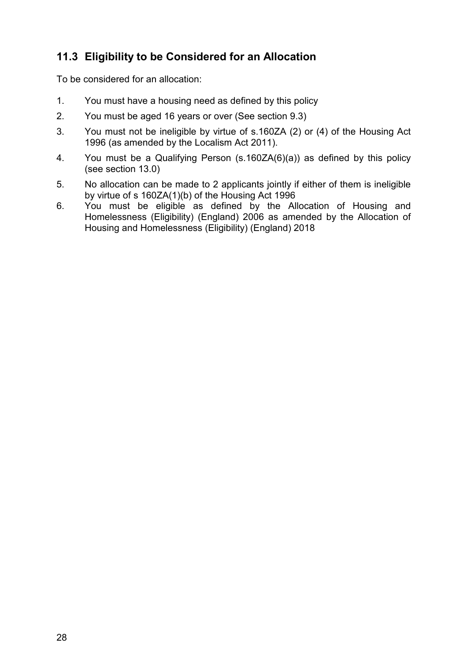## <span id="page-27-0"></span>**11.3 Eligibility to be Considered for an Allocation**

To be considered for an allocation:

- 1. You must have a housing need as defined by this policy
- 2. You must be aged 16 years or over (See section 9.3)
- 3. You must not be ineligible by virtue of s.160ZA (2) or (4) of the Housing Act 1996 (as amended by the Localism Act 2011).
- 4. You must be a Qualifying Person (s.160ZA(6)(a)) as defined by this policy (see section 13.0)
- 5. No allocation can be made to 2 applicants jointly if either of them is ineligible by virtue of s 160ZA(1)(b) of the Housing Act 1996
- 6. You must be eligible as defined by the Allocation of Housing and Homelessness (Eligibility) (England) 2006 as amended by the Allocation of Housing and Homelessness (Eligibility) (England) 2018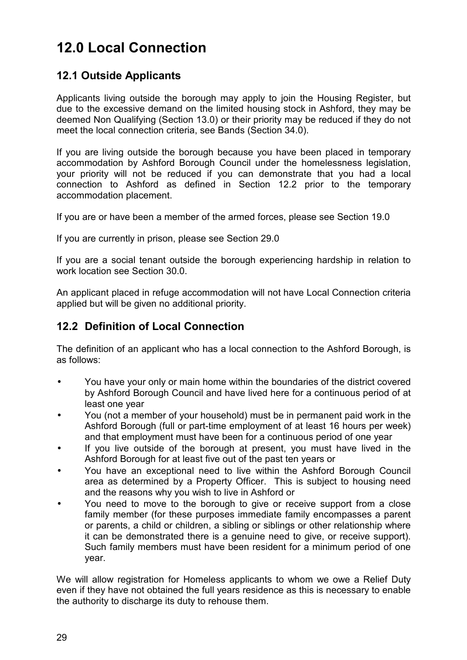# <span id="page-28-0"></span>**12.0 Local Connection**

## **12.1 Outside Applicants**

Applicants living outside the borough may apply to join the Housing Register, but due to the excessive demand on the limited housing stock in Ashford, they may be deemed Non Qualifying (Section 13.0) or their priority may be reduced if they do not meet the local connection criteria, see Bands (Section 34.0).

If you are living outside the borough because you have been placed in temporary accommodation by Ashford Borough Council under the homelessness legislation, your priority will not be reduced if you can demonstrate that you had a local connection to Ashford as defined in Section 12.2 prior to the temporary accommodation placement.

If you are or have been a member of the armed forces, please see Section 19.0

If you are currently in prison, please see Section 29.0

If you are a social tenant outside the borough experiencing hardship in relation to work location see Section 30.0.

An applicant placed in refuge accommodation will not have Local Connection criteria applied but will be given no additional priority.

### **12.2 Definition of Local Connection**

The definition of an applicant who has a local connection to the Ashford Borough, is as follows:

- You have your only or main home within the boundaries of the district covered by Ashford Borough Council and have lived here for a continuous period of at least one year
- You (not a member of your household) must be in permanent paid work in the Ashford Borough (full or part-time employment of at least 16 hours per week) and that employment must have been for a continuous period of one year
- If you live outside of the borough at present, you must have lived in the Ashford Borough for at least five out of the past ten years or
- You have an exceptional need to live within the Ashford Borough Council area as determined by a Property Officer. This is subject to housing need and the reasons why you wish to live in Ashford or
- You need to move to the borough to give or receive support from a close family member (for these purposes immediate family encompasses a parent or parents, a child or children, a sibling or siblings or other relationship where it can be demonstrated there is a genuine need to give, or receive support). Such family members must have been resident for a minimum period of one year.

We will allow registration for Homeless applicants to whom we owe a Relief Duty even if they have not obtained the full years residence as this is necessary to enable the authority to discharge its duty to rehouse them.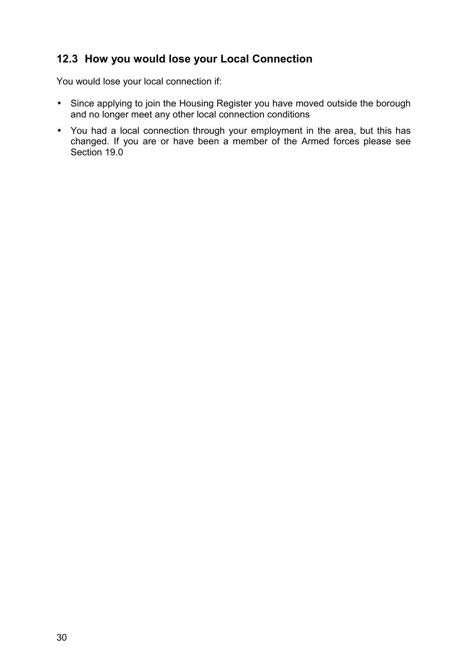## <span id="page-29-0"></span>**12.3 How you would lose your Local Connection**

You would lose your local connection if:

- Since applying to join the Housing Register you have moved outside the borough and no longer meet any other local connection conditions
- You had a local connection through your employment in the area, but this has changed. If you are or have been a member of the Armed forces please see Section 19.0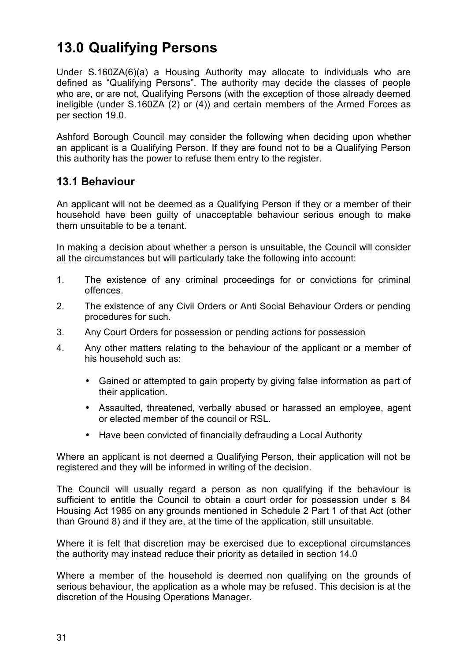# <span id="page-30-0"></span>**13.0 Qualifying Persons**

Under S.160ZA(6)(a) a Housing Authority may allocate to individuals who are defined as "Qualifying Persons". The authority may decide the classes of people who are, or are not, Qualifying Persons (with the exception of those already deemed ineligible (under S.160ZA (2) or (4)) and certain members of the Armed Forces as per section 19.0.

Ashford Borough Council may consider the following when deciding upon whether an applicant is a Qualifying Person. If they are found not to be a Qualifying Person this authority has the power to refuse them entry to the register.

#### **13.1 Behaviour**

An applicant will not be deemed as a Qualifying Person if they or a member of their household have been guilty of unacceptable behaviour serious enough to make them unsuitable to be a tenant.

In making a decision about whether a person is unsuitable, the Council will consider all the circumstances but will particularly take the following into account:

- 1. The existence of any criminal proceedings for or convictions for criminal offences.
- 2. The existence of any Civil Orders or Anti Social Behaviour Orders or pending procedures for such.
- 3. Any Court Orders for possession or pending actions for possession
- 4. Any other matters relating to the behaviour of the applicant or a member of his household such as:
	- Gained or attempted to gain property by giving false information as part of their application.
	- Assaulted, threatened, verbally abused or harassed an employee, agent or elected member of the council or RSL.
	- Have been convicted of financially defrauding a Local Authority

Where an applicant is not deemed a Qualifying Person, their application will not be registered and they will be informed in writing of the decision.

The Council will usually regard a person as non qualifying if the behaviour is sufficient to entitle the Council to obtain a court order for possession under s 84 Housing Act 1985 on any grounds mentioned in Schedule 2 Part 1 of that Act (other than Ground 8) and if they are, at the time of the application, still unsuitable.

Where it is felt that discretion may be exercised due to exceptional circumstances the authority may instead reduce their priority as detailed in section 14.0

Where a member of the household is deemed non qualifying on the grounds of serious behaviour, the application as a whole may be refused. This decision is at the discretion of the Housing Operations Manager.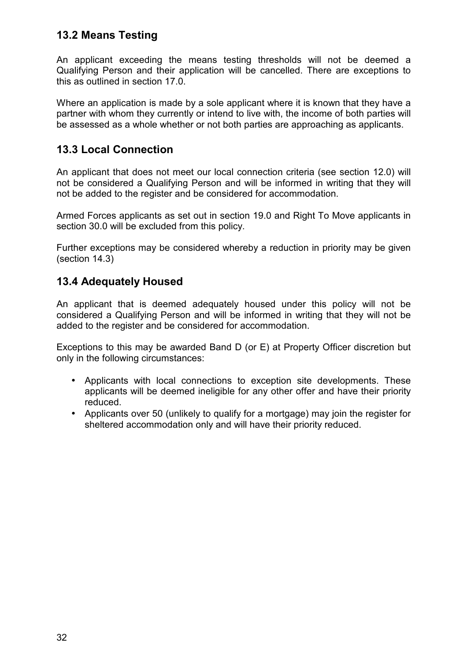### <span id="page-31-0"></span>**13.2 Means Testing**

An applicant exceeding the means testing thresholds will not be deemed a Qualifying Person and their application will be cancelled. There are exceptions to this as outlined in section 17.0.

Where an application is made by a sole applicant where it is known that they have a partner with whom they currently or intend to live with, the income of both parties will be assessed as a whole whether or not both parties are approaching as applicants.

### **13.3 Local Connection**

An applicant that does not meet our local connection criteria (see section 12.0) will not be considered a Qualifying Person and will be informed in writing that they will not be added to the register and be considered for accommodation.

Armed Forces applicants as set out in section 19.0 and Right To Move applicants in section 30.0 will be excluded from this policy.

Further exceptions may be considered whereby a reduction in priority may be given (section 14.3)

### **13.4 Adequately Housed**

An applicant that is deemed adequately housed under this policy will not be considered a Qualifying Person and will be informed in writing that they will not be added to the register and be considered for accommodation.

Exceptions to this may be awarded Band D (or E) at Property Officer discretion but only in the following circumstances:

- Applicants with local connections to exception site developments. These applicants will be deemed ineligible for any other offer and have their priority reduced.
- Applicants over 50 (unlikely to qualify for a mortgage) may join the register for sheltered accommodation only and will have their priority reduced.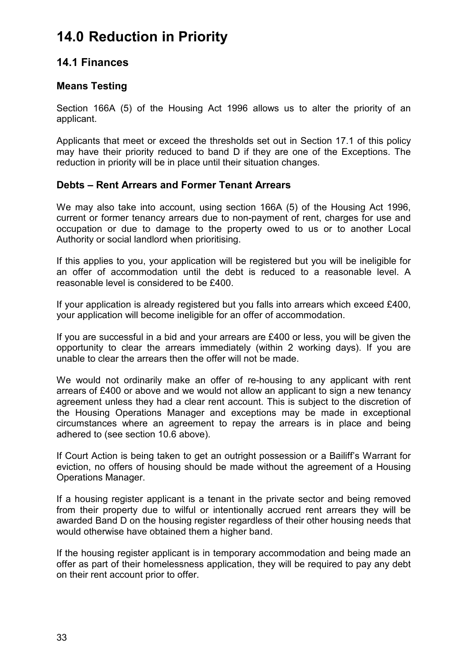## <span id="page-32-0"></span>**14.0 Reduction in Priority**

#### **14.1 Finances**

#### **Means Testing**

Section 166A (5) of the Housing Act 1996 allows us to alter the priority of an applicant.

Applicants that meet or exceed the thresholds set out in Section 17.1 of this policy may have their priority reduced to band D if they are one of the Exceptions. The reduction in priority will be in place until their situation changes.

#### **Debts – Rent Arrears and Former Tenant Arrears**

We may also take into account, using section 166A (5) of the Housing Act 1996, current or former tenancy arrears due to non-payment of rent, charges for use and occupation or due to damage to the property owed to us or to another Local Authority or social landlord when prioritising.

If this applies to you, your application will be registered but you will be ineligible for an offer of accommodation until the debt is reduced to a reasonable level. A reasonable level is considered to be £400.

If your application is already registered but you falls into arrears which exceed £400, your application will become ineligible for an offer of accommodation.

If you are successful in a bid and your arrears are £400 or less, you will be given the opportunity to clear the arrears immediately (within 2 working days). If you are unable to clear the arrears then the offer will not be made.

We would not ordinarily make an offer of re-housing to any applicant with rent arrears of £400 or above and we would not allow an applicant to sign a new tenancy agreement unless they had a clear rent account. This is subject to the discretion of the Housing Operations Manager and exceptions may be made in exceptional circumstances where an agreement to repay the arrears is in place and being adhered to (see section 10.6 above).

If Court Action is being taken to get an outright possession or a Bailiff's Warrant for eviction, no offers of housing should be made without the agreement of a Housing Operations Manager.

If a housing register applicant is a tenant in the private sector and being removed from their property due to wilful or intentionally accrued rent arrears they will be awarded Band D on the housing register regardless of their other housing needs that would otherwise have obtained them a higher band.

If the housing register applicant is in temporary accommodation and being made an offer as part of their homelessness application, they will be required to pay any debt on their rent account prior to offer.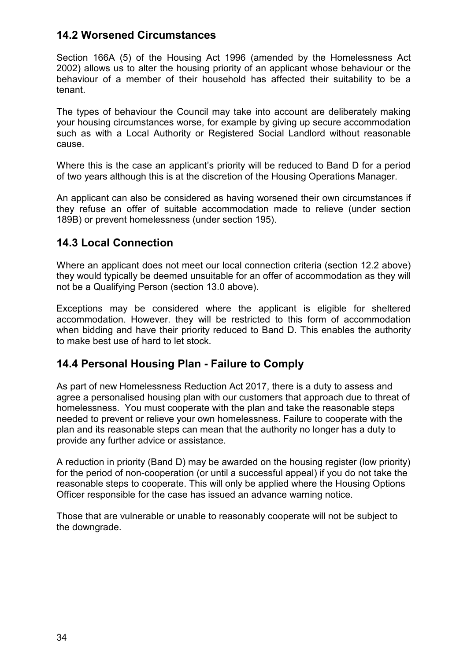### <span id="page-33-0"></span>**14.2 Worsened Circumstances**

Section 166A (5) of the Housing Act 1996 (amended by the Homelessness Act 2002) allows us to alter the housing priority of an applicant whose behaviour or the behaviour of a member of their household has affected their suitability to be a tenant.

The types of behaviour the Council may take into account are deliberately making your housing circumstances worse, for example by giving up secure accommodation such as with a Local Authority or Registered Social Landlord without reasonable cause.

Where this is the case an applicant's priority will be reduced to Band D for a period of two years although this is at the discretion of the Housing Operations Manager.

An applicant can also be considered as having worsened their own circumstances if they refuse an offer of suitable accommodation made to relieve (under section 189B) or prevent homelessness (under section 195).

### **14.3 Local Connection**

Where an applicant does not meet our local connection criteria (section 12.2 above) they would typically be deemed unsuitable for an offer of accommodation as they will not be a Qualifying Person (section 13.0 above).

Exceptions may be considered where the applicant is eligible for sheltered accommodation. However. they will be restricted to this form of accommodation when bidding and have their priority reduced to Band D. This enables the authority to make best use of hard to let stock.

#### **14.4 Personal Housing Plan - Failure to Comply**

As part of new Homelessness Reduction Act 2017, there is a duty to assess and agree a personalised housing plan with our customers that approach due to threat of homelessness. You must cooperate with the plan and take the reasonable steps needed to prevent or relieve your own homelessness. Failure to cooperate with the plan and its reasonable steps can mean that the authority no longer has a duty to provide any further advice or assistance.

A reduction in priority (Band D) may be awarded on the housing register (low priority) for the period of non-cooperation (or until a successful appeal) if you do not take the reasonable steps to cooperate. This will only be applied where the Housing Options Officer responsible for the case has issued an advance warning notice.

Those that are vulnerable or unable to reasonably cooperate will not be subject to the downgrade.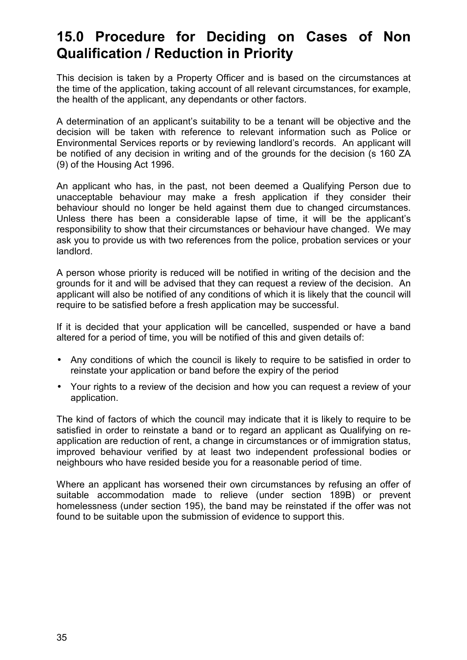## <span id="page-34-0"></span>**15.0 Procedure for Deciding on Cases of Non Qualification / Reduction in Priority**

This decision is taken by a Property Officer and is based on the circumstances at the time of the application, taking account of all relevant circumstances, for example, the health of the applicant, any dependants or other factors.

A determination of an applicant's suitability to be a tenant will be objective and the decision will be taken with reference to relevant information such as Police or Environmental Services reports or by reviewing landlord's records. An applicant will be notified of any decision in writing and of the grounds for the decision (s 160 ZA (9) of the Housing Act 1996.

An applicant who has, in the past, not been deemed a Qualifying Person due to unacceptable behaviour may make a fresh application if they consider their behaviour should no longer be held against them due to changed circumstances. Unless there has been a considerable lapse of time, it will be the applicant's responsibility to show that their circumstances or behaviour have changed. We may ask you to provide us with two references from the police, probation services or your landlord.

A person whose priority is reduced will be notified in writing of the decision and the grounds for it and will be advised that they can request a review of the decision. An applicant will also be notified of any conditions of which it is likely that the council will require to be satisfied before a fresh application may be successful.

If it is decided that your application will be cancelled, suspended or have a band altered for a period of time, you will be notified of this and given details of:

- Any conditions of which the council is likely to require to be satisfied in order to reinstate your application or band before the expiry of the period
- Your rights to a review of the decision and how you can request a review of your application.

The kind of factors of which the council may indicate that it is likely to require to be satisfied in order to reinstate a band or to regard an applicant as Qualifying on reapplication are reduction of rent, a change in circumstances or of immigration status, improved behaviour verified by at least two independent professional bodies or neighbours who have resided beside you for a reasonable period of time.

Where an applicant has worsened their own circumstances by refusing an offer of suitable accommodation made to relieve (under section 189B) or prevent homelessness (under section 195), the band may be reinstated if the offer was not found to be suitable upon the submission of evidence to support this.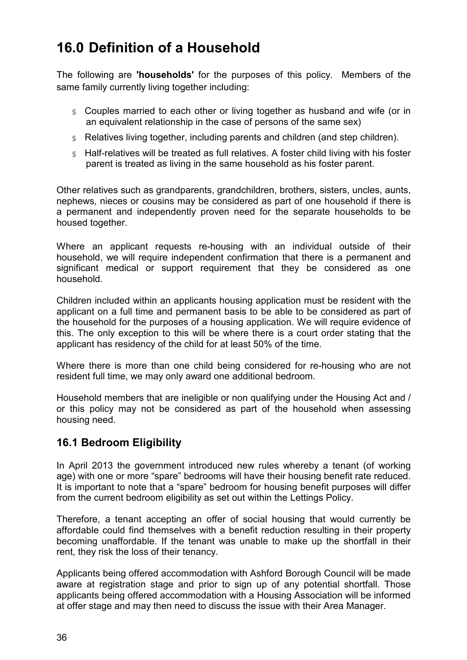## <span id="page-35-0"></span>**16.0 Definition of a Household**

The following are **'households'** for the purposes of this policy. Members of the same family currently living together including:

- § Couples married to each other or living together as husband and wife (or in an equivalent relationship in the case of persons of the same sex)
- § Relatives living together, including parents and children (and step children).
- § Half-relatives will be treated as full relatives. A foster child living with his foster parent is treated as living in the same household as his foster parent.

Other relatives such as grandparents, grandchildren, brothers, sisters, uncles, aunts, nephews, nieces or cousins may be considered as part of one household if there is a permanent and independently proven need for the separate households to be housed together.

Where an applicant requests re-housing with an individual outside of their household, we will require independent confirmation that there is a permanent and significant medical or support requirement that they be considered as one household.

Children included within an applicants housing application must be resident with the applicant on a full time and permanent basis to be able to be considered as part of the household for the purposes of a housing application. We will require evidence of this. The only exception to this will be where there is a court order stating that the applicant has residency of the child for at least 50% of the time.

Where there is more than one child being considered for re-housing who are not resident full time, we may only award one additional bedroom.

Household members that are ineligible or non qualifying under the Housing Act and / or this policy may not be considered as part of the household when assessing housing need.

### **16.1 Bedroom Eligibility**

In April 2013 the government introduced new rules whereby a tenant (of working age) with one or more "spare" bedrooms will have their housing benefit rate reduced. It is important to note that a "spare" bedroom for housing benefit purposes will differ from the current bedroom eligibility as set out within the Lettings Policy.

Therefore, a tenant accepting an offer of social housing that would currently be affordable could find themselves with a benefit reduction resulting in their property becoming unaffordable. If the tenant was unable to make up the shortfall in their rent, they risk the loss of their tenancy.

Applicants being offered accommodation with Ashford Borough Council will be made aware at registration stage and prior to sign up of any potential shortfall. Those applicants being offered accommodation with a Housing Association will be informed at offer stage and may then need to discuss the issue with their Area Manager.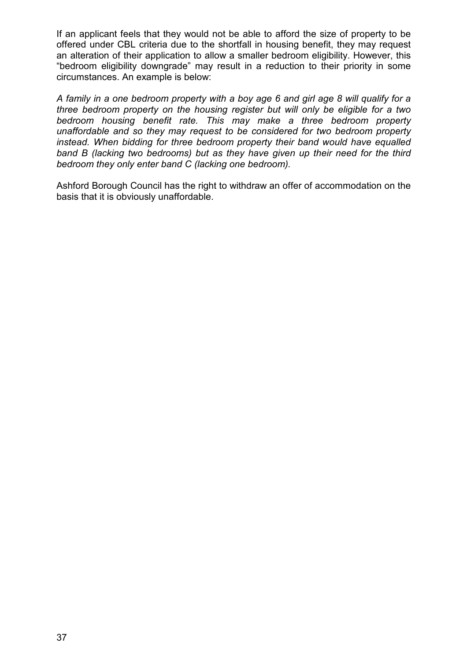If an applicant feels that they would not be able to afford the size of property to be offered under CBL criteria due to the shortfall in housing benefit, they may request an alteration of their application to allow a smaller bedroom eligibility. However, this "bedroom eligibility downgrade" may result in a reduction to their priority in some circumstances. An example is below:

*A family in a one bedroom property with a boy age 6 and girl age 8 will qualify for a three bedroom property on the housing register but will only be eligible for a two bedroom housing benefit rate. This may make a three bedroom property unaffordable and so they may request to be considered for two bedroom property instead. When bidding for three bedroom property their band would have equalled band B (lacking two bedrooms) but as they have given up their need for the third bedroom they only enter band C (lacking one bedroom).* 

Ashford Borough Council has the right to withdraw an offer of accommodation on the basis that it is obviously unaffordable.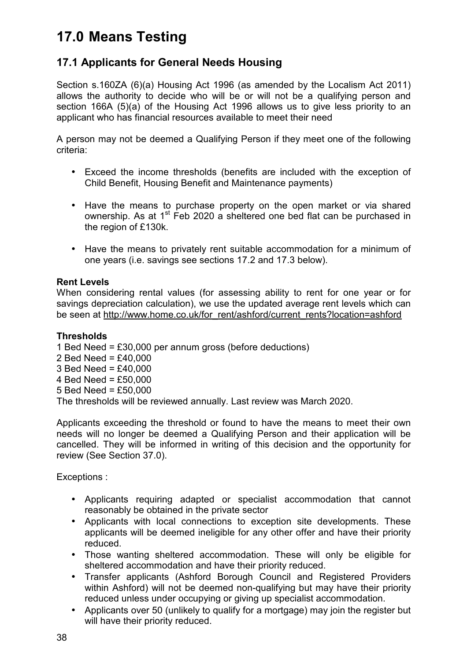# **17.0 Means Testing**

# **17.1 Applicants for General Needs Housing**

Section s.160ZA (6)(a) Housing Act 1996 (as amended by the Localism Act 2011) allows the authority to decide who will be or will not be a qualifying person and section 166A (5)(a) of the Housing Act 1996 allows us to give less priority to an applicant who has financial resources available to meet their need

A person may not be deemed a Qualifying Person if they meet one of the following criteria:

- Exceed the income thresholds (benefits are included with the exception of Child Benefit, Housing Benefit and Maintenance payments)
- Have the means to purchase property on the open market or via shared ownership. As at  $1<sup>st</sup>$  Feb 2020 a sheltered one bed flat can be purchased in the region of £130k.
- Have the means to privately rent suitable accommodation for a minimum of one years (i.e. savings see sections 17.2 and 17.3 below).

#### **Rent Levels**

When considering rental values (for assessing ability to rent for one year or for savings depreciation calculation), we use the updated average rent levels which can be seen at http://www.home.co.uk/for\_rent/ashford/current\_rents?location=ashford

### **Thresholds**

1 Bed Need = £30,000 per annum gross (before deductions) 2 Bed Need = £40,000 3 Bed Need = £40,000 4 Bed Need = £50,000 5 Bed Need = £50,000 The thresholds will be reviewed annually. Last review was March 2020.

Applicants exceeding the threshold or found to have the means to meet their own needs will no longer be deemed a Qualifying Person and their application will be cancelled. They will be informed in writing of this decision and the opportunity for review (See Section 37.0).

Exceptions :

- Applicants requiring adapted or specialist accommodation that cannot reasonably be obtained in the private sector
- Applicants with local connections to exception site developments. These applicants will be deemed ineligible for any other offer and have their priority reduced.
- Those wanting sheltered accommodation. These will only be eligible for sheltered accommodation and have their priority reduced.
- Transfer applicants (Ashford Borough Council and Registered Providers within Ashford) will not be deemed non-qualifying but may have their priority reduced unless under occupying or giving up specialist accommodation.
- Applicants over 50 (unlikely to qualify for a mortgage) may join the register but will have their priority reduced.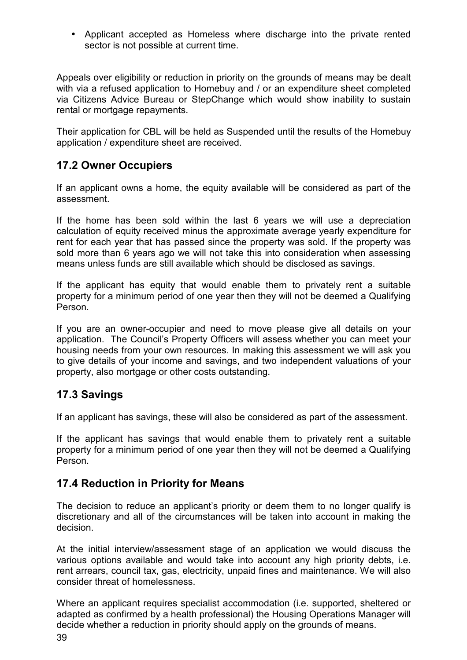• Applicant accepted as Homeless where discharge into the private rented sector is not possible at current time.

Appeals over eligibility or reduction in priority on the grounds of means may be dealt with via a refused application to Homebuy and / or an expenditure sheet completed via Citizens Advice Bureau or StepChange which would show inability to sustain rental or mortgage repayments.

Their application for CBL will be held as Suspended until the results of the Homebuy application / expenditure sheet are received.

## **17.2 Owner Occupiers**

If an applicant owns a home, the equity available will be considered as part of the assessment.

If the home has been sold within the last 6 years we will use a depreciation calculation of equity received minus the approximate average yearly expenditure for rent for each year that has passed since the property was sold. If the property was sold more than 6 years ago we will not take this into consideration when assessing means unless funds are still available which should be disclosed as savings.

If the applicant has equity that would enable them to privately rent a suitable property for a minimum period of one year then they will not be deemed a Qualifying Person.

If you are an owner-occupier and need to move please give all details on your application. The Council's Property Officers will assess whether you can meet your housing needs from your own resources. In making this assessment we will ask you to give details of your income and savings, and two independent valuations of your property, also mortgage or other costs outstanding.

## **17.3 Savings**

If an applicant has savings, these will also be considered as part of the assessment.

If the applicant has savings that would enable them to privately rent a suitable property for a minimum period of one year then they will not be deemed a Qualifying Person.

## **17.4 Reduction in Priority for Means**

The decision to reduce an applicant's priority or deem them to no longer qualify is discretionary and all of the circumstances will be taken into account in making the decision.

At the initial interview/assessment stage of an application we would discuss the various options available and would take into account any high priority debts, i.e. rent arrears, council tax, gas, electricity, unpaid fines and maintenance. We will also consider threat of homelessness.

Where an applicant requires specialist accommodation (i.e. supported, sheltered or adapted as confirmed by a health professional) the Housing Operations Manager will decide whether a reduction in priority should apply on the grounds of means.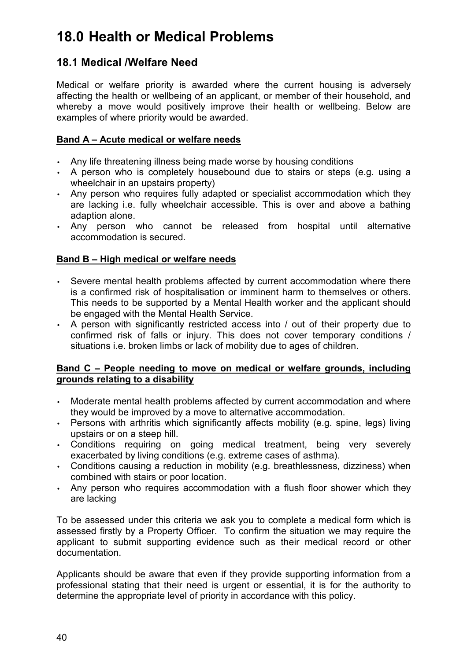# **18.0 Health or Medical Problems**

## **18.1 Medical /Welfare Need**

Medical or welfare priority is awarded where the current housing is adversely affecting the health or wellbeing of an applicant, or member of their household, and whereby a move would positively improve their health or wellbeing. Below are examples of where priority would be awarded.

#### **Band A – Acute medical or welfare needs**

- Any life threatening illness being made worse by housing conditions
- A person who is completely housebound due to stairs or steps (e.g. using a wheelchair in an upstairs property)
- Any person who requires fully adapted or specialist accommodation which they are lacking i.e. fully wheelchair accessible. This is over and above a bathing adaption alone.
- Any person who cannot be released from hospital until alternative accommodation is secured.

### **Band B – High medical or welfare needs**

- Severe mental health problems affected by current accommodation where there is a confirmed risk of hospitalisation or imminent harm to themselves or others. This needs to be supported by a Mental Health worker and the applicant should be engaged with the Mental Health Service.
- A person with significantly restricted access into / out of their property due to confirmed risk of falls or injury. This does not cover temporary conditions / situations i.e. broken limbs or lack of mobility due to ages of children.

#### **Band C – People needing to move on medical or welfare grounds, including grounds relating to a disability**

- Moderate mental health problems affected by current accommodation and where they would be improved by a move to alternative accommodation.
- Persons with arthritis which significantly affects mobility (e.g. spine, legs) living upstairs or on a steep hill.
- Conditions requiring on going medical treatment, being very severely exacerbated by living conditions (e.g. extreme cases of asthma).
- Conditions causing a reduction in mobility (e.g. breathlessness, dizziness) when combined with stairs or poor location.
- Any person who requires accommodation with a flush floor shower which they are lacking

To be assessed under this criteria we ask you to complete a medical form which is assessed firstly by a Property Officer. To confirm the situation we may require the applicant to submit supporting evidence such as their medical record or other documentation.

Applicants should be aware that even if they provide supporting information from a professional stating that their need is urgent or essential, it is for the authority to determine the appropriate level of priority in accordance with this policy.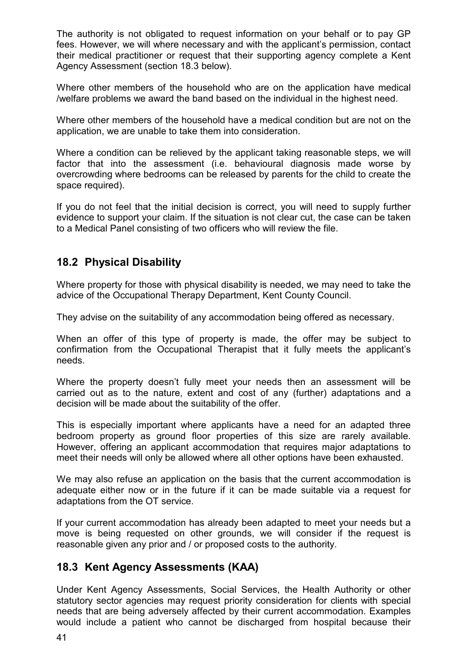The authority is not obligated to request information on your behalf or to pay GP fees. However, we will where necessary and with the applicant's permission, contact their medical practitioner or request that their supporting agency complete a Kent Agency Assessment (section 18.3 below).

Where other members of the household who are on the application have medical /welfare problems we award the band based on the individual in the highest need.

Where other members of the household have a medical condition but are not on the application, we are unable to take them into consideration.

Where a condition can be relieved by the applicant taking reasonable steps, we will factor that into the assessment (i.e. behavioural diagnosis made worse by overcrowding where bedrooms can be released by parents for the child to create the space required).

If you do not feel that the initial decision is correct, you will need to supply further evidence to support your claim. If the situation is not clear cut, the case can be taken to a Medical Panel consisting of two officers who will review the file.

## **18.2 Physical Disability**

Where property for those with physical disability is needed, we may need to take the advice of the Occupational Therapy Department, Kent County Council.

They advise on the suitability of any accommodation being offered as necessary.

When an offer of this type of property is made, the offer may be subject to confirmation from the Occupational Therapist that it fully meets the applicant's needs.

Where the property doesn't fully meet your needs then an assessment will be carried out as to the nature, extent and cost of any (further) adaptations and a decision will be made about the suitability of the offer.

This is especially important where applicants have a need for an adapted three bedroom property as ground floor properties of this size are rarely available. However, offering an applicant accommodation that requires major adaptations to meet their needs will only be allowed where all other options have been exhausted.

We may also refuse an application on the basis that the current accommodation is adequate either now or in the future if it can be made suitable via a request for adaptations from the OT service.

If your current accommodation has already been adapted to meet your needs but a move is being requested on other grounds, we will consider if the request is reasonable given any prior and / or proposed costs to the authority.

## **18.3 Kent Agency Assessments (KAA)**

Under Kent Agency Assessments, Social Services, the Health Authority or other statutory sector agencies may request priority consideration for clients with special needs that are being adversely affected by their current accommodation. Examples would include a patient who cannot be discharged from hospital because their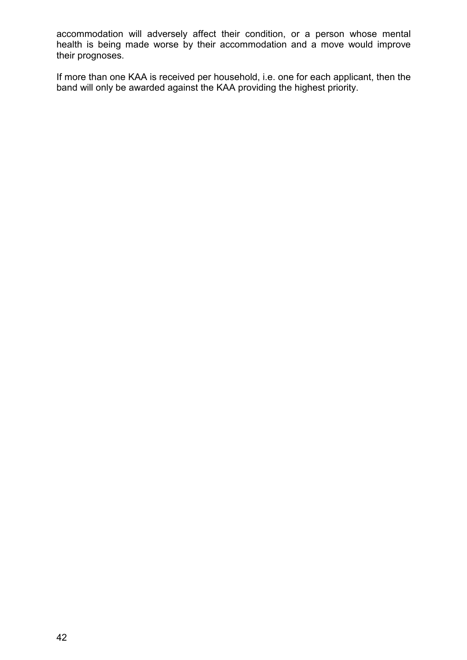accommodation will adversely affect their condition, or a person whose mental health is being made worse by their accommodation and a move would improve their prognoses.

If more than one KAA is received per household, i.e. one for each applicant, then the band will only be awarded against the KAA providing the highest priority.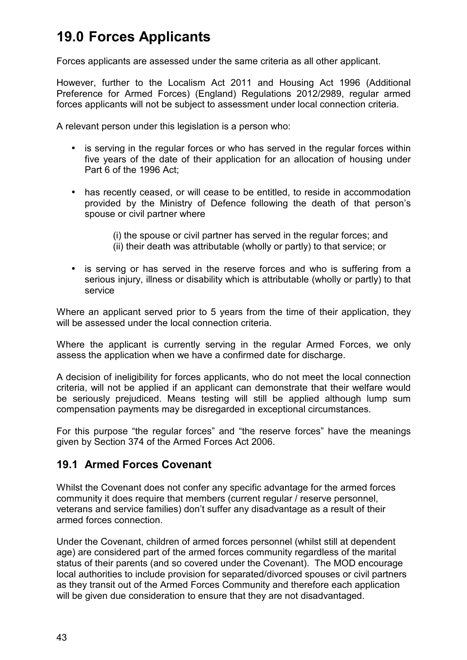# **19.0 Forces Applicants**

Forces applicants are assessed under the same criteria as all other applicant.

However, further to the Localism Act 2011 and Housing Act 1996 (Additional Preference for Armed Forces) (England) Regulations 2012/2989, regular armed forces applicants will not be subject to assessment under local connection criteria.

A relevant person under this legislation is a person who:

- is serving in the regular forces or who has served in the regular forces within five years of the date of their application for an allocation of housing under Part 6 of the 1996 Act;
- has recently ceased, or will cease to be entitled, to reside in accommodation provided by the Ministry of Defence following the death of that person's spouse or civil partner where
	- (i) the spouse or civil partner has served in the regular forces; and (ii) their death was attributable (wholly or partly) to that service; or
- is serving or has served in the reserve forces and who is suffering from a serious injury, illness or disability which is attributable (wholly or partly) to that service

Where an applicant served prior to 5 years from the time of their application, they will be assessed under the local connection criteria.

Where the applicant is currently serving in the regular Armed Forces, we only assess the application when we have a confirmed date for discharge.

A decision of ineligibility for forces applicants, who do not meet the local connection criteria, will not be applied if an applicant can demonstrate that their welfare would be seriously prejudiced. Means testing will still be applied although lump sum compensation payments may be disregarded in exceptional circumstances.

For this purpose "the regular forces" and "the reserve forces" have the meanings given by Section 374 of the Armed Forces Act 2006.

### **19.1 Armed Forces Covenant**

Whilst the Covenant does not confer any specific advantage for the armed forces community it does require that members (current regular / reserve personnel, veterans and service families) don't suffer any disadvantage as a result of their armed forces connection.

Under the Covenant, children of armed forces personnel (whilst still at dependent age) are considered part of the armed forces community regardless of the marital status of their parents (and so covered under the Covenant). The MOD encourage local authorities to include provision for separated/divorced spouses or civil partners as they transit out of the Armed Forces Community and therefore each application will be given due consideration to ensure that they are not disadvantaged.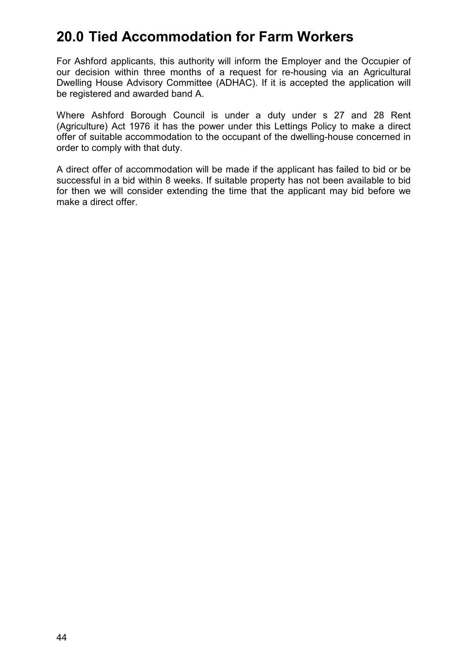# **20.0 Tied Accommodation for Farm Workers**

For Ashford applicants, this authority will inform the Employer and the Occupier of our decision within three months of a request for re-housing via an Agricultural Dwelling House Advisory Committee (ADHAC). If it is accepted the application will be registered and awarded band A.

Where Ashford Borough Council is under a duty under s 27 and 28 Rent (Agriculture) Act 1976 it has the power under this Lettings Policy to make a direct offer of suitable accommodation to the occupant of the dwelling-house concerned in order to comply with that duty.

A direct offer of accommodation will be made if the applicant has failed to bid or be successful in a bid within 8 weeks. If suitable property has not been available to bid for then we will consider extending the time that the applicant may bid before we make a direct offer.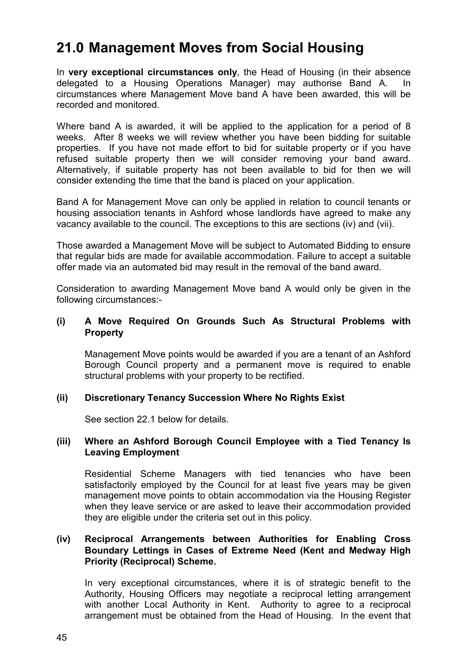# **21.0 Management Moves from Social Housing**

In **very exceptional circumstances only**, the Head of Housing (in their absence delegated to a Housing Operations Manager) may authorise Band A. In circumstances where Management Move band A have been awarded, this will be recorded and monitored.

Where band A is awarded, it will be applied to the application for a period of 8 weeks. After 8 weeks we will review whether you have been bidding for suitable properties. If you have not made effort to bid for suitable property or if you have refused suitable property then we will consider removing your band award. Alternatively, if suitable property has not been available to bid for then we will consider extending the time that the band is placed on your application.

Band A for Management Move can only be applied in relation to council tenants or housing association tenants in Ashford whose landlords have agreed to make any vacancy available to the council. The exceptions to this are sections (iv) and (vii).

Those awarded a Management Move will be subject to Automated Bidding to ensure that regular bids are made for available accommodation. Failure to accept a suitable offer made via an automated bid may result in the removal of the band award.

Consideration to awarding Management Move band A would only be given in the following circumstances:-

#### **(i) A Move Required On Grounds Such As Structural Problems with Property**

Management Move points would be awarded if you are a tenant of an Ashford Borough Council property and a permanent move is required to enable structural problems with your property to be rectified.

### **(ii) Discretionary Tenancy Succession Where No Rights Exist**

See section 22.1 below for details.

#### **(iii) Where an Ashford Borough Council Employee with a Tied Tenancy Is Leaving Employment**

Residential Scheme Managers with tied tenancies who have been satisfactorily employed by the Council for at least five years may be given management move points to obtain accommodation via the Housing Register when they leave service or are asked to leave their accommodation provided they are eligible under the criteria set out in this policy.

#### **(iv) Reciprocal Arrangements between Authorities for Enabling Cross Boundary Lettings in Cases of Extreme Need (Kent and Medway High Priority (Reciprocal) Scheme.**

In very exceptional circumstances, where it is of strategic benefit to the Authority, Housing Officers may negotiate a reciprocal letting arrangement with another Local Authority in Kent. Authority to agree to a reciprocal arrangement must be obtained from the Head of Housing. In the event that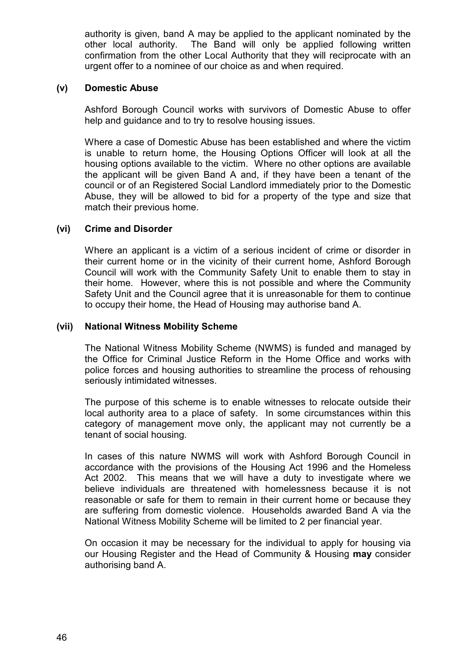authority is given, band A may be applied to the applicant nominated by the other local authority. The Band will only be applied following written confirmation from the other Local Authority that they will reciprocate with an urgent offer to a nominee of our choice as and when required.

#### **(v) Domestic Abuse**

Ashford Borough Council works with survivors of Domestic Abuse to offer help and guidance and to try to resolve housing issues.

Where a case of Domestic Abuse has been established and where the victim is unable to return home, the Housing Options Officer will look at all the housing options available to the victim. Where no other options are available the applicant will be given Band A and, if they have been a tenant of the council or of an Registered Social Landlord immediately prior to the Domestic Abuse, they will be allowed to bid for a property of the type and size that match their previous home.

#### **(vi) Crime and Disorder**

Where an applicant is a victim of a serious incident of crime or disorder in their current home or in the vicinity of their current home, Ashford Borough Council will work with the Community Safety Unit to enable them to stay in their home. However, where this is not possible and where the Community Safety Unit and the Council agree that it is unreasonable for them to continue to occupy their home, the Head of Housing may authorise band A.

#### **(vii) National Witness Mobility Scheme**

The National Witness Mobility Scheme (NWMS) is funded and managed by the Office for Criminal Justice Reform in the Home Office and works with police forces and housing authorities to streamline the process of rehousing seriously intimidated witnesses.

The purpose of this scheme is to enable witnesses to relocate outside their local authority area to a place of safety. In some circumstances within this category of management move only, the applicant may not currently be a tenant of social housing.

In cases of this nature NWMS will work with Ashford Borough Council in accordance with the provisions of the Housing Act 1996 and the Homeless Act 2002. This means that we will have a duty to investigate where we believe individuals are threatened with homelessness because it is not reasonable or safe for them to remain in their current home or because they are suffering from domestic violence. Households awarded Band A via the National Witness Mobility Scheme will be limited to 2 per financial year.

On occasion it may be necessary for the individual to apply for housing via our Housing Register and the Head of Community & Housing **may** consider authorising band A.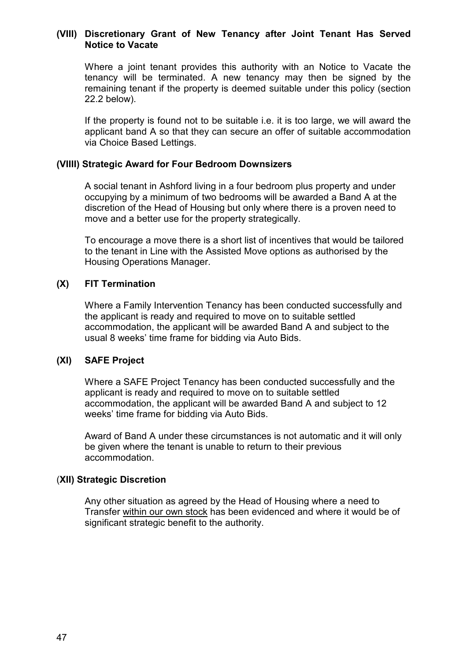#### **(VIII) Discretionary Grant of New Tenancy after Joint Tenant Has Served Notice to Vacate**

Where a joint tenant provides this authority with an Notice to Vacate the tenancy will be terminated. A new tenancy may then be signed by the remaining tenant if the property is deemed suitable under this policy (section 22.2 below).

If the property is found not to be suitable i.e. it is too large, we will award the applicant band A so that they can secure an offer of suitable accommodation via Choice Based Lettings.

#### **(VIIII) Strategic Award for Four Bedroom Downsizers**

A social tenant in Ashford living in a four bedroom plus property and under occupying by a minimum of two bedrooms will be awarded a Band A at the discretion of the Head of Housing but only where there is a proven need to move and a better use for the property strategically.

To encourage a move there is a short list of incentives that would be tailored to the tenant in Line with the Assisted Move options as authorised by the Housing Operations Manager.

#### **(X) FIT Termination**

Where a Family Intervention Tenancy has been conducted successfully and the applicant is ready and required to move on to suitable settled accommodation, the applicant will be awarded Band A and subject to the usual 8 weeks' time frame for bidding via Auto Bids.

#### **(XI) SAFE Project**

Where a SAFE Project Tenancy has been conducted successfully and the applicant is ready and required to move on to suitable settled accommodation, the applicant will be awarded Band A and subject to 12 weeks' time frame for bidding via Auto Bids.

Award of Band A under these circumstances is not automatic and it will only be given where the tenant is unable to return to their previous accommodation.

#### (**XII) Strategic Discretion**

Any other situation as agreed by the Head of Housing where a need to Transfer within our own stock has been evidenced and where it would be of significant strategic benefit to the authority.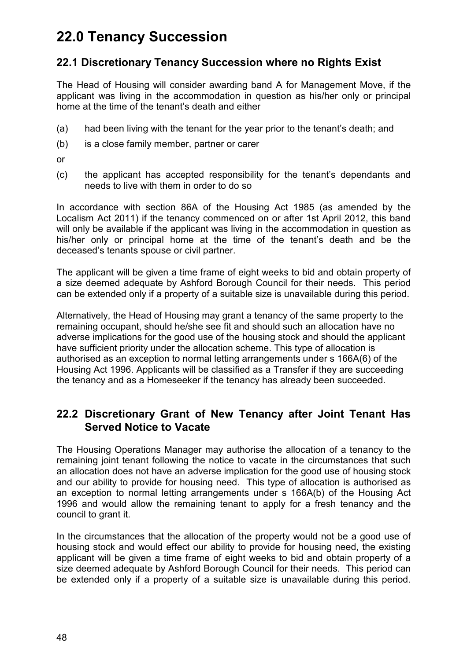# **22.0 Tenancy Succession**

## **22.1 Discretionary Tenancy Succession where no Rights Exist**

The Head of Housing will consider awarding band A for Management Move, if the applicant was living in the accommodation in question as his/her only or principal home at the time of the tenant's death and either

- (a) had been living with the tenant for the year prior to the tenant's death; and
- (b) is a close family member, partner or carer
- or
- (c) the applicant has accepted responsibility for the tenant's dependants and needs to live with them in order to do so

In accordance with section 86A of the Housing Act 1985 (as amended by the Localism Act 2011) if the tenancy commenced on or after 1st April 2012, this band will only be available if the applicant was living in the accommodation in question as his/her only or principal home at the time of the tenant's death and be the deceased's tenants spouse or civil partner.

The applicant will be given a time frame of eight weeks to bid and obtain property of a size deemed adequate by Ashford Borough Council for their needs. This period can be extended only if a property of a suitable size is unavailable during this period.

Alternatively, the Head of Housing may grant a tenancy of the same property to the remaining occupant, should he/she see fit and should such an allocation have no adverse implications for the good use of the housing stock and should the applicant have sufficient priority under the allocation scheme. This type of allocation is authorised as an exception to normal letting arrangements under s 166A(6) of the Housing Act 1996. Applicants will be classified as a Transfer if they are succeeding the tenancy and as a Homeseeker if the tenancy has already been succeeded.

## **22.2 Discretionary Grant of New Tenancy after Joint Tenant Has Served Notice to Vacate**

The Housing Operations Manager may authorise the allocation of a tenancy to the remaining joint tenant following the notice to vacate in the circumstances that such an allocation does not have an adverse implication for the good use of housing stock and our ability to provide for housing need. This type of allocation is authorised as an exception to normal letting arrangements under s 166A(b) of the Housing Act 1996 and would allow the remaining tenant to apply for a fresh tenancy and the council to grant it.

In the circumstances that the allocation of the property would not be a good use of housing stock and would effect our ability to provide for housing need, the existing applicant will be given a time frame of eight weeks to bid and obtain property of a size deemed adequate by Ashford Borough Council for their needs. This period can be extended only if a property of a suitable size is unavailable during this period.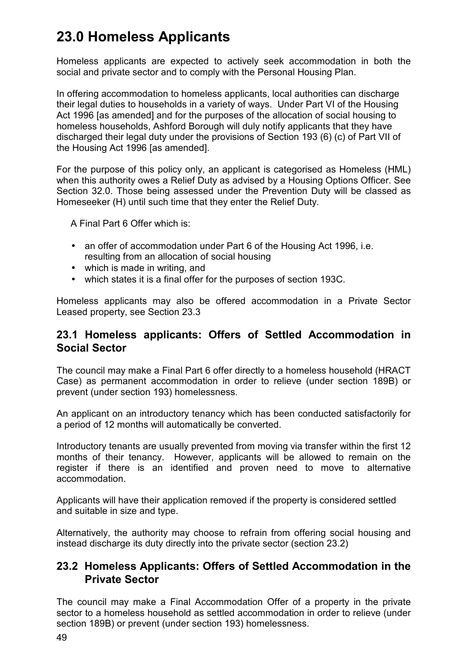# **23.0 Homeless Applicants**

Homeless applicants are expected to actively seek accommodation in both the social and private sector and to comply with the Personal Housing Plan.

In offering accommodation to homeless applicants, local authorities can discharge their legal duties to households in a variety of ways. Under Part VI of the Housing Act 1996 [as amended] and for the purposes of the allocation of social housing to homeless households, Ashford Borough will duly notify applicants that they have discharged their legal duty under the provisions of Section 193 (6) (c) of Part VII of the Housing Act 1996 [as amended].

For the purpose of this policy only, an applicant is categorised as Homeless (HML) when this authority owes a Relief Duty as advised by a Housing Options Officer. See Section 32.0. Those being assessed under the Prevention Duty will be classed as Homeseeker (H) until such time that they enter the Relief Duty.

A Final Part 6 Offer which is:

- an offer of accommodation under Part 6 of the Housing Act 1996, i.e. resulting from an allocation of social housing
- which is made in writing, and
- which states it is a final offer for the purposes of section 193C.

Homeless applicants may also be offered accommodation in a Private Sector Leased property, see Section 23.3

## **23.1 Homeless applicants: Offers of Settled Accommodation in Social Sector**

The council may make a Final Part 6 offer directly to a homeless household (HRACT Case) as permanent accommodation in order to relieve (under section 189B) or prevent (under section 193) homelessness.

An applicant on an introductory tenancy which has been conducted satisfactorily for a period of 12 months will automatically be converted.

Introductory tenants are usually prevented from moving via transfer within the first 12 months of their tenancy. However, applicants will be allowed to remain on the register if there is an identified and proven need to move to alternative accommodation.

Applicants will have their application removed if the property is considered settled and suitable in size and type.

Alternatively, the authority may choose to refrain from offering social housing and instead discharge its duty directly into the private sector (section 23.2)

## **23.2 Homeless Applicants: Offers of Settled Accommodation in the Private Sector**

The council may make a Final Accommodation Offer of a property in the private sector to a homeless household as settled accommodation in order to relieve (under section 189B) or prevent (under section 193) homelessness.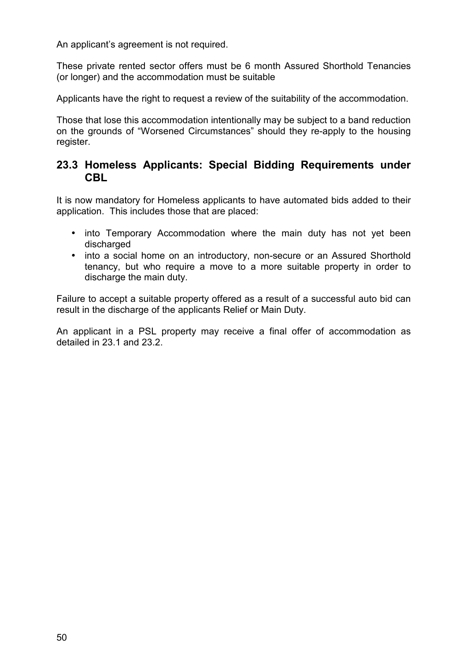An applicant's agreement is not required.

These private rented sector offers must be 6 month Assured Shorthold Tenancies (or longer) and the accommodation must be suitable

Applicants have the right to request a review of the suitability of the accommodation.

Those that lose this accommodation intentionally may be subject to a band reduction on the grounds of "Worsened Circumstances" should they re-apply to the housing register.

## **23.3 Homeless Applicants: Special Bidding Requirements under CBL**

It is now mandatory for Homeless applicants to have automated bids added to their application. This includes those that are placed:

- into Temporary Accommodation where the main duty has not yet been discharged
- into a social home on an introductory, non-secure or an Assured Shorthold tenancy, but who require a move to a more suitable property in order to discharge the main duty.

Failure to accept a suitable property offered as a result of a successful auto bid can result in the discharge of the applicants Relief or Main Duty.

An applicant in a PSL property may receive a final offer of accommodation as detailed in 23.1 and 23.2.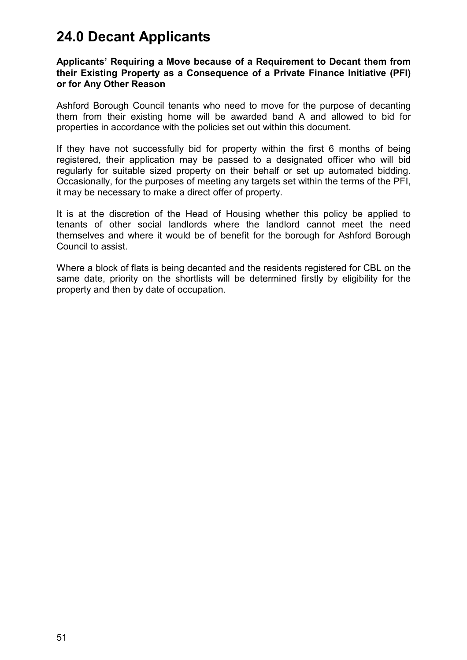# **24.0 Decant Applicants**

#### **Applicants' Requiring a Move because of a Requirement to Decant them from their Existing Property as a Consequence of a Private Finance Initiative (PFI) or for Any Other Reason**

Ashford Borough Council tenants who need to move for the purpose of decanting them from their existing home will be awarded band A and allowed to bid for properties in accordance with the policies set out within this document.

If they have not successfully bid for property within the first 6 months of being registered, their application may be passed to a designated officer who will bid regularly for suitable sized property on their behalf or set up automated bidding. Occasionally, for the purposes of meeting any targets set within the terms of the PFI, it may be necessary to make a direct offer of property.

It is at the discretion of the Head of Housing whether this policy be applied to tenants of other social landlords where the landlord cannot meet the need themselves and where it would be of benefit for the borough for Ashford Borough Council to assist.

Where a block of flats is being decanted and the residents registered for CBL on the same date, priority on the shortlists will be determined firstly by eligibility for the property and then by date of occupation.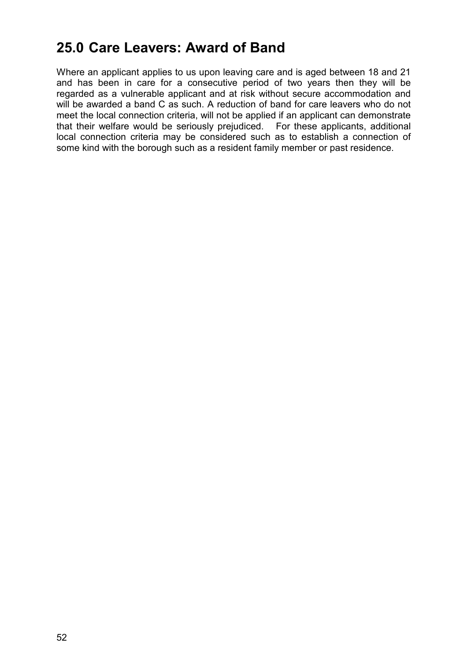# **25.0 Care Leavers: Award of Band**

Where an applicant applies to us upon leaving care and is aged between 18 and 21 and has been in care for a consecutive period of two years then they will be regarded as a vulnerable applicant and at risk without secure accommodation and will be awarded a band C as such. A reduction of band for care leavers who do not meet the local connection criteria, will not be applied if an applicant can demonstrate that their welfare would be seriously prejudiced. For these applicants, additional local connection criteria may be considered such as to establish a connection of some kind with the borough such as a resident family member or past residence.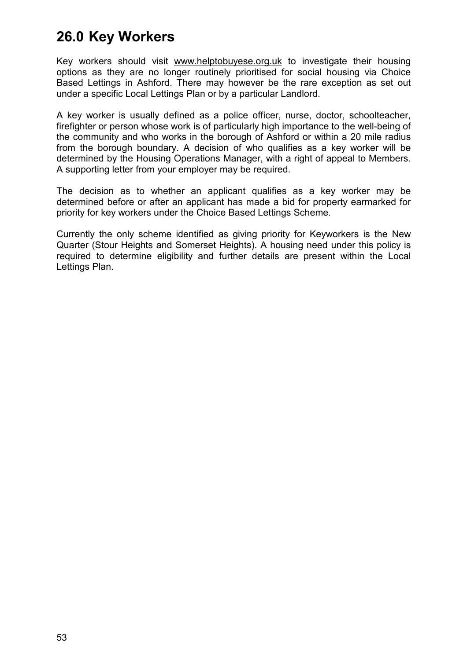# **26.0 Key Workers**

Key workers should visit [www.helptobuyese.org.uk](http://www.helptobuyese.org.uk/) to investigate their housing options as they are no longer routinely prioritised for social housing via Choice Based Lettings in Ashford. There may however be the rare exception as set out under a specific Local Lettings Plan or by a particular Landlord.

A key worker is usually defined as a police officer, nurse, doctor, schoolteacher, firefighter or person whose work is of particularly high importance to the well-being of the community and who works in the borough of Ashford or within a 20 mile radius from the borough boundary. A decision of who qualifies as a key worker will be determined by the Housing Operations Manager, with a right of appeal to Members. A supporting letter from your employer may be required.

The decision as to whether an applicant qualifies as a key worker may be determined before or after an applicant has made a bid for property earmarked for priority for key workers under the Choice Based Lettings Scheme.

Currently the only scheme identified as giving priority for Keyworkers is the New Quarter (Stour Heights and Somerset Heights). A housing need under this policy is required to determine eligibility and further details are present within the Local Lettings Plan.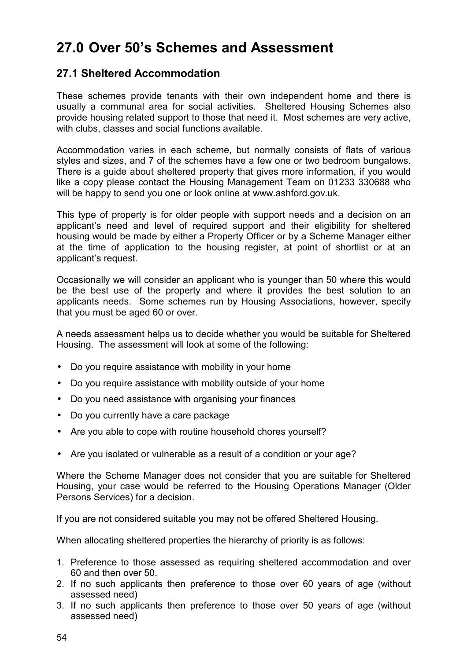# **27.0 Over 50's Schemes and Assessment**

## **27.1 Sheltered Accommodation**

These schemes provide tenants with their own independent home and there is usually a communal area for social activities. Sheltered Housing Schemes also provide housing related support to those that need it. Most schemes are very active, with clubs, classes and social functions available.

Accommodation varies in each scheme, but normally consists of flats of various styles and sizes, and 7 of the schemes have a few one or two bedroom bungalows. There is a guide about sheltered property that gives more information, if you would like a copy please contact the Housing Management Team on 01233 330688 who will be happy to send you one or look online at www.ashford.gov.uk.

This type of property is for older people with support needs and a decision on an applicant's need and level of required support and their eligibility for sheltered housing would be made by either a Property Officer or by a Scheme Manager either at the time of application to the housing register, at point of shortlist or at an applicant's request.

Occasionally we will consider an applicant who is younger than 50 where this would be the best use of the property and where it provides the best solution to an applicants needs. Some schemes run by Housing Associations, however, specify that you must be aged 60 or over.

A needs assessment helps us to decide whether you would be suitable for Sheltered Housing. The assessment will look at some of the following:

- Do you require assistance with mobility in your home
- Do you require assistance with mobility outside of your home
- Do you need assistance with organising your finances
- Do you currently have a care package
- Are you able to cope with routine household chores yourself?
- Are you isolated or vulnerable as a result of a condition or your age?

Where the Scheme Manager does not consider that you are suitable for Sheltered Housing, your case would be referred to the Housing Operations Manager (Older Persons Services) for a decision.

If you are not considered suitable you may not be offered Sheltered Housing.

When allocating sheltered properties the hierarchy of priority is as follows:

- 1. Preference to those assessed as requiring sheltered accommodation and over 60 and then over 50.
- 2. If no such applicants then preference to those over 60 years of age (without assessed need)
- 3. If no such applicants then preference to those over 50 years of age (without assessed need)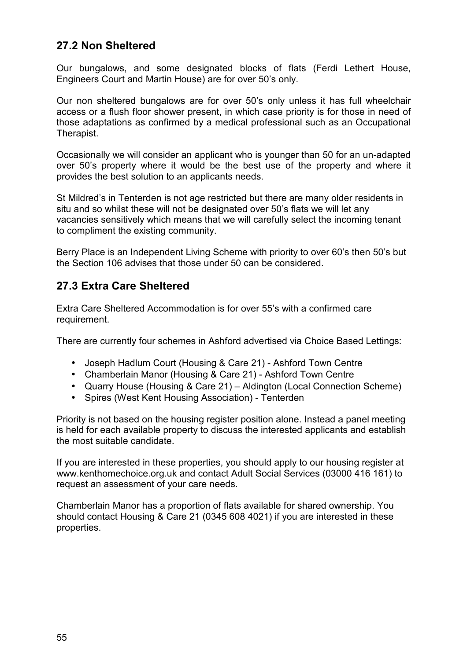# **27.2 Non Sheltered**

Our bungalows, and some designated blocks of flats (Ferdi Lethert House, Engineers Court and Martin House) are for over 50's only.

Our non sheltered bungalows are for over 50's only unless it has full wheelchair access or a flush floor shower present, in which case priority is for those in need of those adaptations as confirmed by a medical professional such as an Occupational Therapist.

Occasionally we will consider an applicant who is younger than 50 for an un-adapted over 50's property where it would be the best use of the property and where it provides the best solution to an applicants needs.

St Mildred's in Tenterden is not age restricted but there are many older residents in situ and so whilst these will not be designated over 50's flats we will let any vacancies sensitively which means that we will carefully select the incoming tenant to compliment the existing community.

Berry Place is an Independent Living Scheme with priority to over 60's then 50's but the Section 106 advises that those under 50 can be considered.

## **27.3 Extra Care Sheltered**

Extra Care Sheltered Accommodation is for over 55's with a confirmed care requirement.

There are currently four schemes in Ashford advertised via Choice Based Lettings:

- Joseph Hadlum Court (Housing & Care 21) Ashford Town Centre
- Chamberlain Manor (Housing & Care 21) Ashford Town Centre
- Quarry House (Housing & Care 21) Aldington (Local Connection Scheme)
- Spires (West Kent Housing Association) Tenterden

Priority is not based on the housing register position alone. Instead a panel meeting is held for each available property to discuss the interested applicants and establish the most suitable candidate.

If you are interested in these properties, you should apply to our housing register at [www.kenthomechoice.org.uk](http://www.kenthomechoice.org.uk/) and contact Adult Social Services (03000 416 161) to request an assessment of your care needs.

Chamberlain Manor has a proportion of flats available for shared ownership. You should contact Housing & Care 21 (0345 608 4021) if you are interested in these properties.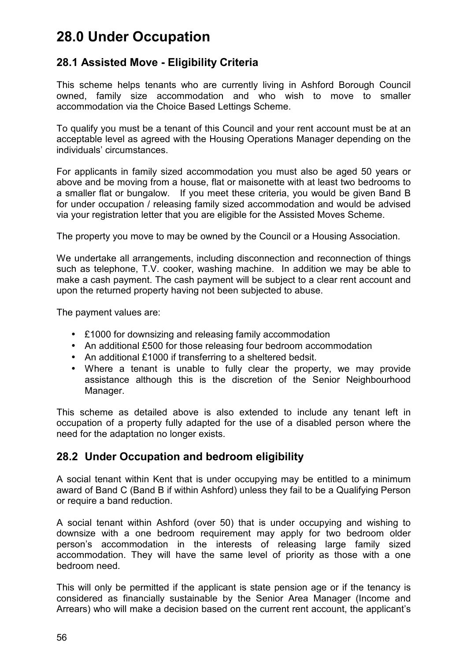# **28.0 Under Occupation**

## **28.1 Assisted Move - Eligibility Criteria**

This scheme helps tenants who are currently living in Ashford Borough Council owned, family size accommodation and who wish to move to smaller accommodation via the Choice Based Lettings Scheme.

To qualify you must be a tenant of this Council and your rent account must be at an acceptable level as agreed with the Housing Operations Manager depending on the individuals' circumstances.

For applicants in family sized accommodation you must also be aged 50 years or above and be moving from a house, flat or maisonette with at least two bedrooms to a smaller flat or bungalow. If you meet these criteria, you would be given Band B for under occupation / releasing family sized accommodation and would be advised via your registration letter that you are eligible for the Assisted Moves Scheme.

The property you move to may be owned by the Council or a Housing Association.

We undertake all arrangements, including disconnection and reconnection of things such as telephone, T.V. cooker, washing machine. In addition we may be able to make a cash payment. The cash payment will be subject to a clear rent account and upon the returned property having not been subjected to abuse.

The payment values are:

- £1000 for downsizing and releasing family accommodation
- An additional £500 for those releasing four bedroom accommodation
- An additional £1000 if transferring to a sheltered bedsit.
- Where a tenant is unable to fully clear the property, we may provide assistance although this is the discretion of the Senior Neighbourhood Manager.

This scheme as detailed above is also extended to include any tenant left in occupation of a property fully adapted for the use of a disabled person where the need for the adaptation no longer exists.

## **28.2 Under Occupation and bedroom eligibility**

A social tenant within Kent that is under occupying may be entitled to a minimum award of Band C (Band B if within Ashford) unless they fail to be a Qualifying Person or require a band reduction.

A social tenant within Ashford (over 50) that is under occupying and wishing to downsize with a one bedroom requirement may apply for two bedroom older person's accommodation in the interests of releasing large family sized accommodation. They will have the same level of priority as those with a one bedroom need.

This will only be permitted if the applicant is state pension age or if the tenancy is considered as financially sustainable by the Senior Area Manager (Income and Arrears) who will make a decision based on the current rent account, the applicant's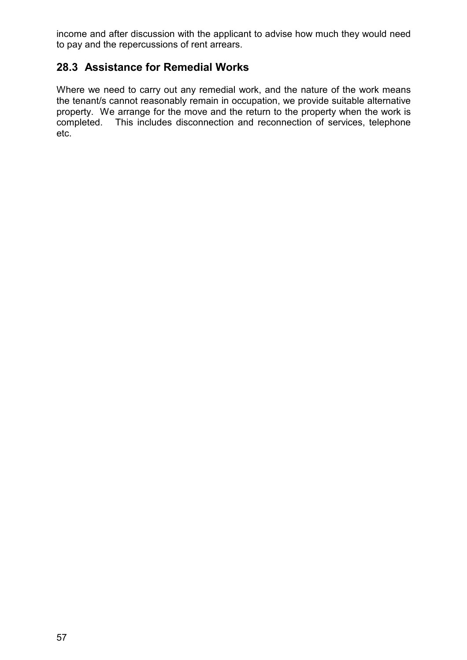income and after discussion with the applicant to advise how much they would need to pay and the repercussions of rent arrears.

# **28.3 Assistance for Remedial Works**

Where we need to carry out any remedial work, and the nature of the work means the tenant/s cannot reasonably remain in occupation, we provide suitable alternative property. We arrange for the move and the return to the property when the work is completed. This includes disconnection and reconnection of services, telephone etc.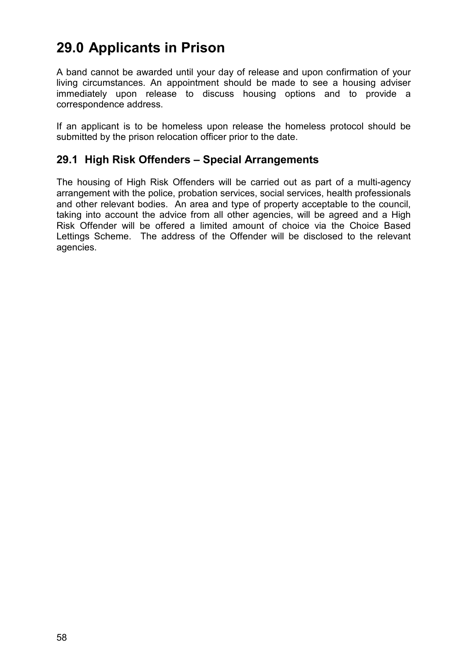# **29.0 Applicants in Prison**

A band cannot be awarded until your day of release and upon confirmation of your living circumstances. An appointment should be made to see a housing adviser immediately upon release to discuss housing options and to provide a correspondence address.

If an applicant is to be homeless upon release the homeless protocol should be submitted by the prison relocation officer prior to the date.

## **29.1 High Risk Offenders – Special Arrangements**

The housing of High Risk Offenders will be carried out as part of a multi-agency arrangement with the police, probation services, social services, health professionals and other relevant bodies. An area and type of property acceptable to the council, taking into account the advice from all other agencies, will be agreed and a High Risk Offender will be offered a limited amount of choice via the Choice Based Lettings Scheme. The address of the Offender will be disclosed to the relevant agencies.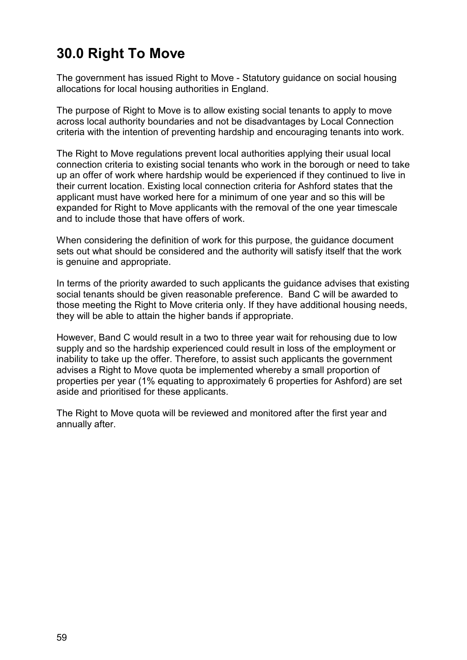# **30.0 Right To Move**

The government has issued Right to Move - Statutory guidance on social housing allocations for local housing authorities in England.

The purpose of Right to Move is to allow existing social tenants to apply to move across local authority boundaries and not be disadvantages by Local Connection criteria with the intention of preventing hardship and encouraging tenants into work.

The Right to Move regulations prevent local authorities applying their usual local connection criteria to existing social tenants who work in the borough or need to take up an offer of work where hardship would be experienced if they continued to live in their current location. Existing local connection criteria for Ashford states that the applicant must have worked here for a minimum of one year and so this will be expanded for Right to Move applicants with the removal of the one year timescale and to include those that have offers of work.

When considering the definition of work for this purpose, the guidance document sets out what should be considered and the authority will satisfy itself that the work is genuine and appropriate.

In terms of the priority awarded to such applicants the guidance advises that existing social tenants should be given reasonable preference. Band C will be awarded to those meeting the Right to Move criteria only. If they have additional housing needs, they will be able to attain the higher bands if appropriate.

However, Band C would result in a two to three year wait for rehousing due to low supply and so the hardship experienced could result in loss of the employment or inability to take up the offer. Therefore, to assist such applicants the government advises a Right to Move quota be implemented whereby a small proportion of properties per year (1% equating to approximately 6 properties for Ashford) are set aside and prioritised for these applicants.

The Right to Move quota will be reviewed and monitored after the first year and annually after.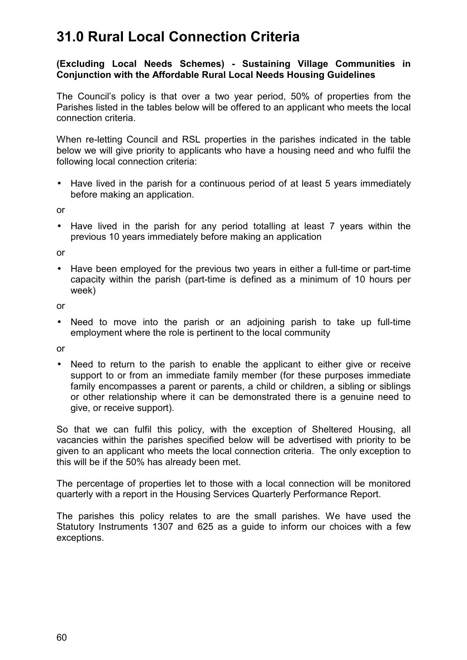# **31.0 Rural Local Connection Criteria**

#### **(Excluding Local Needs Schemes) - Sustaining Village Communities in Conjunction with the Affordable Rural Local Needs Housing Guidelines**

The Council's policy is that over a two year period, 50% of properties from the Parishes listed in the tables below will be offered to an applicant who meets the local connection criteria.

When re-letting Council and RSL properties in the parishes indicated in the table below we will give priority to applicants who have a housing need and who fulfil the following local connection criteria:

• Have lived in the parish for a continuous period of at least 5 years immediately before making an application.

or

• Have lived in the parish for any period totalling at least 7 years within the previous 10 years immediately before making an application

or

• Have been employed for the previous two years in either a full-time or part-time capacity within the parish (part-time is defined as a minimum of 10 hours per week)

or

• Need to move into the parish or an adioining parish to take up full-time employment where the role is pertinent to the local community

or

• Need to return to the parish to enable the applicant to either give or receive support to or from an immediate family member (for these purposes immediate family encompasses a parent or parents, a child or children, a sibling or siblings or other relationship where it can be demonstrated there is a genuine need to give, or receive support).

So that we can fulfil this policy, with the exception of Sheltered Housing, all vacancies within the parishes specified below will be advertised with priority to be given to an applicant who meets the local connection criteria. The only exception to this will be if the 50% has already been met.

The percentage of properties let to those with a local connection will be monitored quarterly with a report in the Housing Services Quarterly Performance Report.

The parishes this policy relates to are the small parishes. We have used the Statutory Instruments 1307 and 625 as a guide to inform our choices with a few exceptions.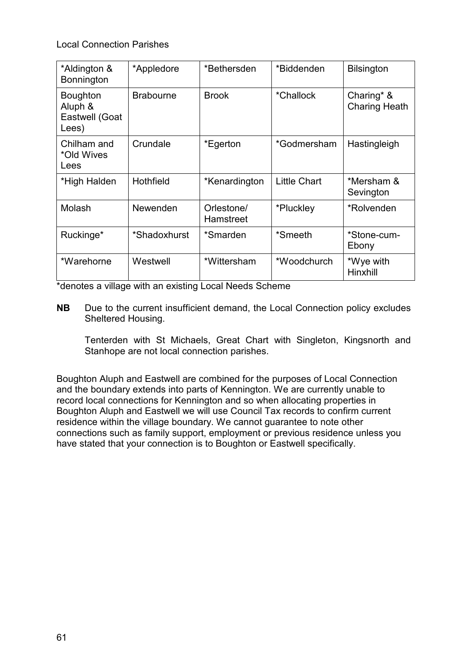Local Connection Parishes

| *Aldington &<br>Bonnington                            | *Appledore       | *Bethersden             | *Biddenden          | <b>Bilsington</b>                  |
|-------------------------------------------------------|------------------|-------------------------|---------------------|------------------------------------|
| <b>Boughton</b><br>Aluph &<br>Eastwell (Goat<br>Lees) | <b>Brabourne</b> | <b>Brook</b>            | *Challock           | Charing* &<br><b>Charing Heath</b> |
| Chilham and<br>*Old Wives<br>Lees                     | Crundale         | *Egerton                | *Godmersham         | Hastingleigh                       |
| *High Halden                                          | Hothfield        | *Kenardington           | <b>Little Chart</b> | *Mersham &<br>Sevington            |
| Molash                                                | Newenden         | Orlestone/<br>Hamstreet | *Pluckley           | *Rolvenden                         |
| Ruckinge*                                             | *Shadoxhurst     | *Smarden                | *Smeeth             | *Stone-cum-<br>Ebony               |
| *Warehorne                                            | Westwell         | *Wittersham             | *Woodchurch         | *Wye with<br>Hinxhill              |

\*denotes a village with an existing Local Needs Scheme

**NB** Due to the current insufficient demand, the Local Connection policy excludes Sheltered Housing.

 Tenterden with St Michaels, Great Chart with Singleton, Kingsnorth and Stanhope are not local connection parishes.

Boughton Aluph and Eastwell are combined for the purposes of Local Connection and the boundary extends into parts of Kennington. We are currently unable to record local connections for Kennington and so when allocating properties in Boughton Aluph and Eastwell we will use Council Tax records to confirm current residence within the village boundary. We cannot guarantee to note other connections such as family support, employment or previous residence unless you have stated that your connection is to Boughton or Eastwell specifically.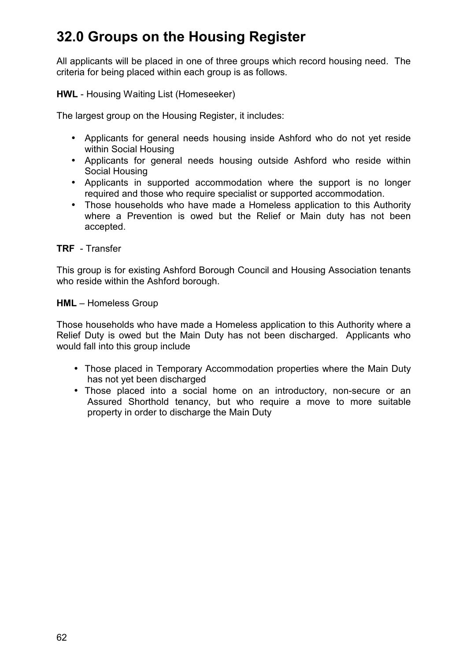# **32.0 Groups on the Housing Register**

All applicants will be placed in one of three groups which record housing need. The criteria for being placed within each group is as follows.

**HWL** - Housing Waiting List (Homeseeker)

The largest group on the Housing Register, it includes:

- Applicants for general needs housing inside Ashford who do not yet reside within Social Housing
- Applicants for general needs housing outside Ashford who reside within Social Housing
- Applicants in supported accommodation where the support is no longer required and those who require specialist or supported accommodation.
- Those households who have made a Homeless application to this Authority where a Prevention is owed but the Relief or Main duty has not been accepted.

**TRF** - Transfer

This group is for existing Ashford Borough Council and Housing Association tenants who reside within the Ashford borough.

#### **HML** – Homeless Group

Those households who have made a Homeless application to this Authority where a Relief Duty is owed but the Main Duty has not been discharged. Applicants who would fall into this group include

- Those placed in Temporary Accommodation properties where the Main Duty has not yet been discharged
- Those placed into a social home on an introductory, non-secure or an Assured Shorthold tenancy, but who require a move to more suitable property in order to discharge the Main Duty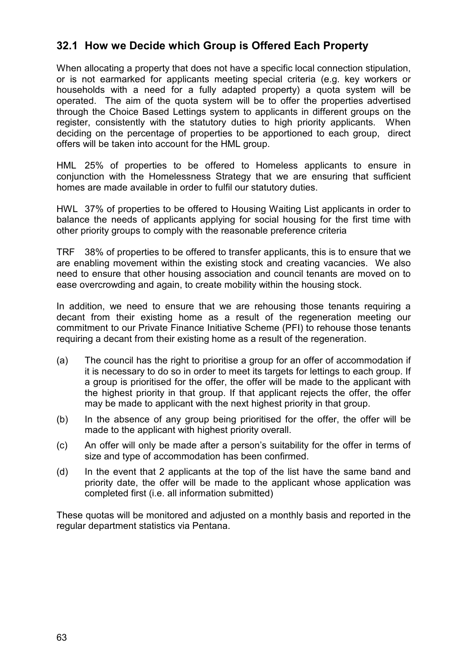## **32.1 How we Decide which Group is Offered Each Property**

When allocating a property that does not have a specific local connection stipulation, or is not earmarked for applicants meeting special criteria (e.g. key workers or households with a need for a fully adapted property) a quota system will be operated. The aim of the quota system will be to offer the properties advertised through the Choice Based Lettings system to applicants in different groups on the register, consistently with the statutory duties to high priority applicants. When deciding on the percentage of properties to be apportioned to each group, direct offers will be taken into account for the HML group.

HML 25% of properties to be offered to Homeless applicants to ensure in conjunction with the Homelessness Strategy that we are ensuring that sufficient homes are made available in order to fulfil our statutory duties.

HWL 37% of properties to be offered to Housing Waiting List applicants in order to balance the needs of applicants applying for social housing for the first time with other priority groups to comply with the reasonable preference criteria

TRF 38% of properties to be offered to transfer applicants, this is to ensure that we are enabling movement within the existing stock and creating vacancies. We also need to ensure that other housing association and council tenants are moved on to ease overcrowding and again, to create mobility within the housing stock.

In addition, we need to ensure that we are rehousing those tenants requiring a decant from their existing home as a result of the regeneration meeting our commitment to our Private Finance Initiative Scheme (PFI) to rehouse those tenants requiring a decant from their existing home as a result of the regeneration.

- (a) The council has the right to prioritise a group for an offer of accommodation if it is necessary to do so in order to meet its targets for lettings to each group. If a group is prioritised for the offer, the offer will be made to the applicant with the highest priority in that group. If that applicant rejects the offer, the offer may be made to applicant with the next highest priority in that group.
- (b) In the absence of any group being prioritised for the offer, the offer will be made to the applicant with highest priority overall.
- (c) An offer will only be made after a person's suitability for the offer in terms of size and type of accommodation has been confirmed.
- (d) In the event that 2 applicants at the top of the list have the same band and priority date, the offer will be made to the applicant whose application was completed first (i.e. all information submitted)

These quotas will be monitored and adjusted on a monthly basis and reported in the regular department statistics via Pentana.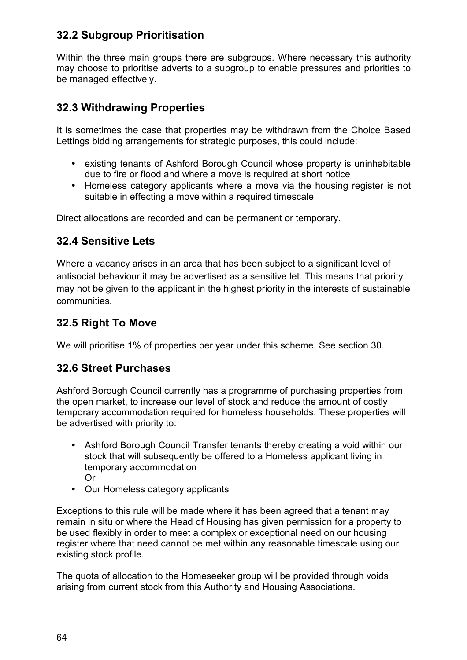# **32.2 Subgroup Prioritisation**

Within the three main groups there are subgroups. Where necessary this authority may choose to prioritise adverts to a subgroup to enable pressures and priorities to be managed effectively.

## **32.3 Withdrawing Properties**

It is sometimes the case that properties may be withdrawn from the Choice Based Lettings bidding arrangements for strategic purposes, this could include:

- existing tenants of Ashford Borough Council whose property is uninhabitable due to fire or flood and where a move is required at short notice
- Homeless category applicants where a move via the housing register is not suitable in effecting a move within a required timescale

Direct allocations are recorded and can be permanent or temporary.

## **32.4 Sensitive Lets**

Where a vacancy arises in an area that has been subject to a significant level of antisocial behaviour it may be advertised as a sensitive let. This means that priority may not be given to the applicant in the highest priority in the interests of sustainable communities.

## **32.5 Right To Move**

We will prioritise 1% of properties per year under this scheme. See section 30.

## **32.6 Street Purchases**

Ashford Borough Council currently has a programme of purchasing properties from the open market, to increase our level of stock and reduce the amount of costly temporary accommodation required for homeless households. These properties will be advertised with priority to:

- Ashford Borough Council Transfer tenants thereby creating a void within our stock that will subsequently be offered to a Homeless applicant living in temporary accommodation Or
- Our Homeless category applicants

Exceptions to this rule will be made where it has been agreed that a tenant may remain in situ or where the Head of Housing has given permission for a property to be used flexibly in order to meet a complex or exceptional need on our housing register where that need cannot be met within any reasonable timescale using our existing stock profile.

The quota of allocation to the Homeseeker group will be provided through voids arising from current stock from this Authority and Housing Associations.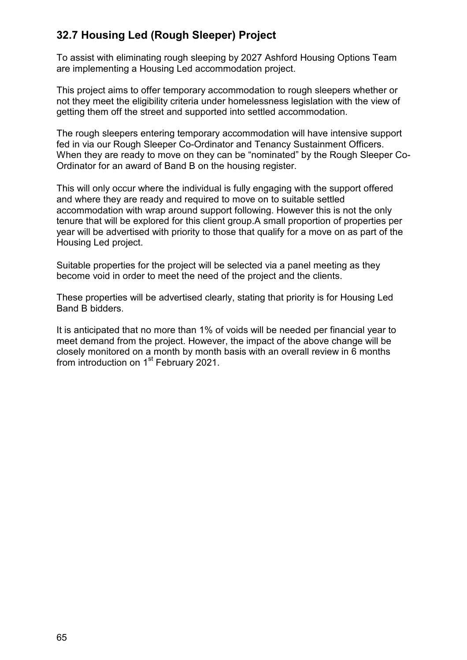# **32.7 Housing Led (Rough Sleeper) Project**

To assist with eliminating rough sleeping by 2027 Ashford Housing Options Team are implementing a Housing Led accommodation project.

This project aims to offer temporary accommodation to rough sleepers whether or not they meet the eligibility criteria under homelessness legislation with the view of getting them off the street and supported into settled accommodation.

The rough sleepers entering temporary accommodation will have intensive support fed in via our Rough Sleeper Co-Ordinator and Tenancy Sustainment Officers. When they are ready to move on they can be "nominated" by the Rough Sleeper Co-Ordinator for an award of Band B on the housing register.

This will only occur where the individual is fully engaging with the support offered and where they are ready and required to move on to suitable settled accommodation with wrap around support following. However this is not the only tenure that will be explored for this client group.A small proportion of properties per year will be advertised with priority to those that qualify for a move on as part of the Housing Led project.

Suitable properties for the project will be selected via a panel meeting as they become void in order to meet the need of the project and the clients.

These properties will be advertised clearly, stating that priority is for Housing Led Band B bidders.

It is anticipated that no more than 1% of voids will be needed per financial year to meet demand from the project. However, the impact of the above change will be closely monitored on a month by month basis with an overall review in 6 months from introduction on 1<sup>st</sup> February 2021.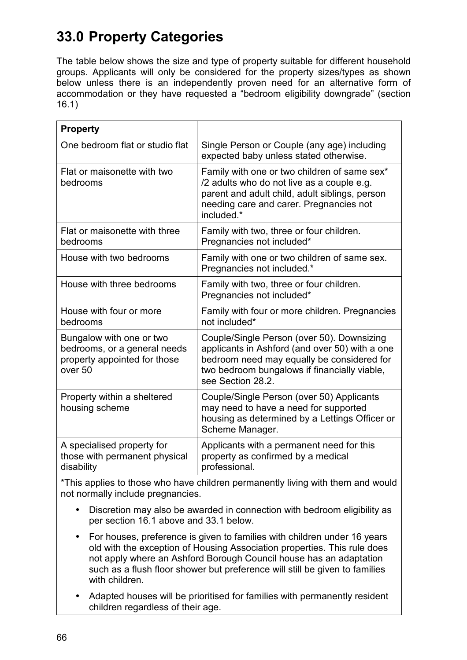# **33.0 Property Categories**

The table below shows the size and type of property suitable for different household groups. Applicants will only be considered for the property sizes/types as shown below unless there is an independently proven need for an alternative form of accommodation or they have requested a "bedroom eligibility downgrade" (section 16.1)

| <b>Property</b>                                                                                     |                                                                                                                                                                                                                 |
|-----------------------------------------------------------------------------------------------------|-----------------------------------------------------------------------------------------------------------------------------------------------------------------------------------------------------------------|
| One bedroom flat or studio flat                                                                     | Single Person or Couple (any age) including<br>expected baby unless stated otherwise.                                                                                                                           |
| Flat or maisonette with two<br>bedrooms                                                             | Family with one or two children of same sex*<br>/2 adults who do not live as a couple e.g.<br>parent and adult child, adult siblings, person<br>needing care and carer. Pregnancies not<br>included *           |
| Flat or maisonette with three<br>bedrooms                                                           | Family with two, three or four children.<br>Pregnancies not included*                                                                                                                                           |
| House with two bedrooms                                                                             | Family with one or two children of same sex.<br>Pregnancies not included.*                                                                                                                                      |
| House with three bedrooms                                                                           | Family with two, three or four children.<br>Pregnancies not included*                                                                                                                                           |
| House with four or more<br>bedrooms                                                                 | Family with four or more children. Pregnancies<br>not included*                                                                                                                                                 |
| Bungalow with one or two<br>bedrooms, or a general needs<br>property appointed for those<br>over 50 | Couple/Single Person (over 50). Downsizing<br>applicants in Ashford (and over 50) with a one<br>bedroom need may equally be considered for<br>two bedroom bungalows if financially viable,<br>see Section 28.2. |
| Property within a sheltered<br>housing scheme                                                       | Couple/Single Person (over 50) Applicants<br>may need to have a need for supported<br>housing as determined by a Lettings Officer or<br>Scheme Manager.                                                         |
| A specialised property for<br>those with permanent physical<br>disability                           | Applicants with a permanent need for this<br>property as confirmed by a medical<br>professional.                                                                                                                |

\*This applies to those who have children permanently living with them and would not normally include pregnancies.

- Discretion may also be awarded in connection with bedroom eligibility as per section 16.1 above and 33.1 below.
- For houses, preference is given to families with children under 16 years old with the exception of Housing Association properties. This rule does not apply where an Ashford Borough Council house has an adaptation such as a flush floor shower but preference will still be given to families with children.
- Adapted houses will be prioritised for families with permanently resident children regardless of their age.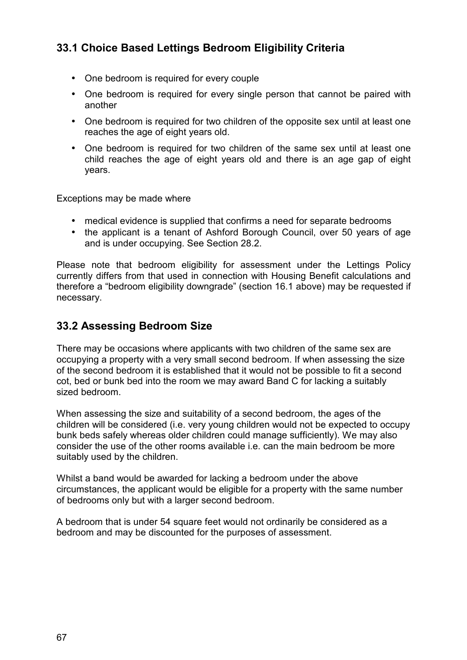# **33.1 Choice Based Lettings Bedroom Eligibility Criteria**

- One bedroom is required for every couple
- One bedroom is required for every single person that cannot be paired with another
- One bedroom is required for two children of the opposite sex until at least one reaches the age of eight years old.
- One bedroom is required for two children of the same sex until at least one child reaches the age of eight years old and there is an age gap of eight years.

Exceptions may be made where

- medical evidence is supplied that confirms a need for separate bedrooms
- the applicant is a tenant of Ashford Borough Council, over 50 years of age and is under occupying. See Section 28.2.

Please note that bedroom eligibility for assessment under the Lettings Policy currently differs from that used in connection with Housing Benefit calculations and therefore a "bedroom eligibility downgrade" (section 16.1 above) may be requested if necessary.

## **33.2 Assessing Bedroom Size**

There may be occasions where applicants with two children of the same sex are occupying a property with a very small second bedroom. If when assessing the size of the second bedroom it is established that it would not be possible to fit a second cot, bed or bunk bed into the room we may award Band C for lacking a suitably sized bedroom.

When assessing the size and suitability of a second bedroom, the ages of the children will be considered (i.e. very young children would not be expected to occupy bunk beds safely whereas older children could manage sufficiently). We may also consider the use of the other rooms available i.e. can the main bedroom be more suitably used by the children.

Whilst a band would be awarded for lacking a bedroom under the above circumstances, the applicant would be eligible for a property with the same number of bedrooms only but with a larger second bedroom.

A bedroom that is under 54 square feet would not ordinarily be considered as a bedroom and may be discounted for the purposes of assessment.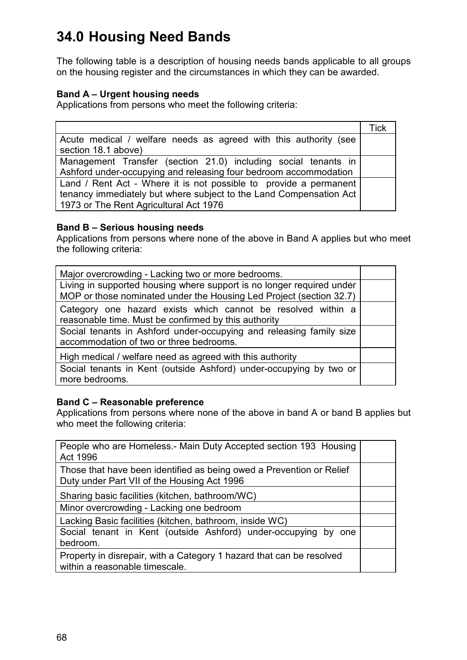# **34.0 Housing Need Bands**

The following table is a description of housing needs bands applicable to all groups on the housing register and the circumstances in which they can be awarded.

### **Band A – Urgent housing needs**

Applications from persons who meet the following criteria:

|                                                                    | Tick |
|--------------------------------------------------------------------|------|
| Acute medical / welfare needs as agreed with this authority (see   |      |
| section 18.1 above)                                                |      |
| Management Transfer (section 21.0) including social tenants in     |      |
| Ashford under-occupying and releasing four bedroom accommodation   |      |
| Land / Rent Act - Where it is not possible to provide a permanent  |      |
| tenancy immediately but where subject to the Land Compensation Act |      |
| 1973 or The Rent Agricultural Act 1976                             |      |

### **Band B – Serious housing needs**

Applications from persons where none of the above in Band A applies but who meet the following criteria:

| Major overcrowding - Lacking two or more bedrooms.                                                                                           |  |
|----------------------------------------------------------------------------------------------------------------------------------------------|--|
| Living in supported housing where support is no longer required under<br>MOP or those nominated under the Housing Led Project (section 32.7) |  |
| Category one hazard exists which cannot be resolved within a<br>reasonable time. Must be confirmed by this authority                         |  |
| Social tenants in Ashford under-occupying and releasing family size<br>accommodation of two or three bedrooms.                               |  |
| High medical / welfare need as agreed with this authority                                                                                    |  |
| Social tenants in Kent (outside Ashford) under-occupying by two or<br>more bedrooms.                                                         |  |

### **Band C – Reasonable preference**

Applications from persons where none of the above in band A or band B applies but who meet the following criteria:

| People who are Homeless.- Main Duty Accepted section 193 Housing<br>Act 1996                                        |  |
|---------------------------------------------------------------------------------------------------------------------|--|
| Those that have been identified as being owed a Prevention or Relief<br>Duty under Part VII of the Housing Act 1996 |  |
| Sharing basic facilities (kitchen, bathroom/WC)                                                                     |  |
| Minor overcrowding - Lacking one bedroom                                                                            |  |
| Lacking Basic facilities (kitchen, bathroom, inside WC)                                                             |  |
| Social tenant in Kent (outside Ashford) under-occupying by one<br>bedroom.                                          |  |
| Property in disrepair, with a Category 1 hazard that can be resolved<br>within a reasonable timescale.              |  |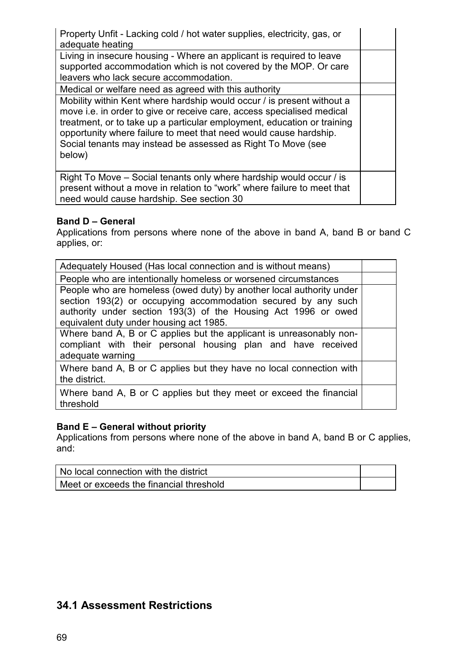| Property Unfit - Lacking cold / hot water supplies, electricity, gas, or<br>adequate heating                                                                                                                                                                                                                                                                               |  |
|----------------------------------------------------------------------------------------------------------------------------------------------------------------------------------------------------------------------------------------------------------------------------------------------------------------------------------------------------------------------------|--|
| Living in insecure housing - Where an applicant is required to leave<br>supported accommodation which is not covered by the MOP. Or care<br>leavers who lack secure accommodation.                                                                                                                                                                                         |  |
| Medical or welfare need as agreed with this authority                                                                                                                                                                                                                                                                                                                      |  |
| Mobility within Kent where hardship would occur / is present without a<br>move i.e. in order to give or receive care, access specialised medical<br>treatment, or to take up a particular employment, education or training<br>opportunity where failure to meet that need would cause hardship.<br>Social tenants may instead be assessed as Right To Move (see<br>below) |  |
| Right To Move – Social tenants only where hardship would occur / is<br>present without a move in relation to "work" where failure to meet that<br>need would cause hardship. See section 30                                                                                                                                                                                |  |

#### **Band D – General**

Applications from persons where none of the above in band A, band B or band C applies, or:

| Adequately Housed (Has local connection and is without means)                                                                                                                                                                                      |  |
|----------------------------------------------------------------------------------------------------------------------------------------------------------------------------------------------------------------------------------------------------|--|
| People who are intentionally homeless or worsened circumstances                                                                                                                                                                                    |  |
| People who are homeless (owed duty) by another local authority under<br>section 193(2) or occupying accommodation secured by any such<br>authority under section 193(3) of the Housing Act 1996 or owed<br>equivalent duty under housing act 1985. |  |
| Where band A, B or C applies but the applicant is unreasonably non-<br>compliant with their personal housing plan and have received<br>adequate warning                                                                                            |  |
| Where band A, B or C applies but they have no local connection with<br>the district.                                                                                                                                                               |  |
| Where band A, B or C applies but they meet or exceed the financial<br>threshold                                                                                                                                                                    |  |

### **Band E – General without priority**

Applications from persons where none of the above in band A, band B or C applies, and:

| No local connection with the district   |  |
|-----------------------------------------|--|
| Meet or exceeds the financial threshold |  |

## **34.1 Assessment Restrictions**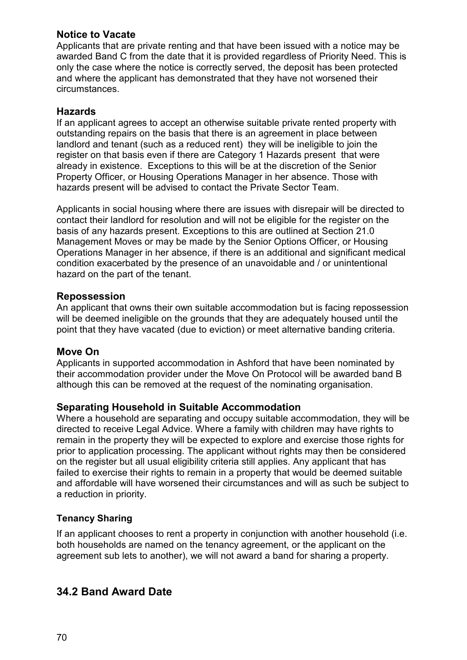### **Notice to Vacate**

Applicants that are private renting and that have been issued with a notice may be awarded Band C from the date that it is provided regardless of Priority Need. This is only the case where the notice is correctly served, the deposit has been protected and where the applicant has demonstrated that they have not worsened their circumstances.

### **Hazards**

If an applicant agrees to accept an otherwise suitable private rented property with outstanding repairs on the basis that there is an agreement in place between landlord and tenant (such as a reduced rent) they will be ineligible to join the register on that basis even if there are Category 1 Hazards present that were already in existence. Exceptions to this will be at the discretion of the Senior Property Officer, or Housing Operations Manager in her absence. Those with hazards present will be advised to contact the Private Sector Team.

Applicants in social housing where there are issues with disrepair will be directed to contact their landlord for resolution and will not be eligible for the register on the basis of any hazards present. Exceptions to this are outlined at Section 21.0 Management Moves or may be made by the Senior Options Officer, or Housing Operations Manager in her absence, if there is an additional and significant medical condition exacerbated by the presence of an unavoidable and / or unintentional hazard on the part of the tenant.

### **Repossession**

An applicant that owns their own suitable accommodation but is facing repossession will be deemed ineligible on the grounds that they are adequately housed until the point that they have vacated (due to eviction) or meet alternative banding criteria.

### **Move On**

Applicants in supported accommodation in Ashford that have been nominated by their accommodation provider under the Move On Protocol will be awarded band B although this can be removed at the request of the nominating organisation.

### **Separating Household in Suitable Accommodation**

Where a household are separating and occupy suitable accommodation, they will be directed to receive Legal Advice. Where a family with children may have rights to remain in the property they will be expected to explore and exercise those rights for prior to application processing. The applicant without rights may then be considered on the register but all usual eligibility criteria still applies. Any applicant that has failed to exercise their rights to remain in a property that would be deemed suitable and affordable will have worsened their circumstances and will as such be subject to a reduction in priority.

### **Tenancy Sharing**

If an applicant chooses to rent a property in conjunction with another household (i.e. both households are named on the tenancy agreement, or the applicant on the agreement sub lets to another), we will not award a band for sharing a property.

## **34.2 Band Award Date**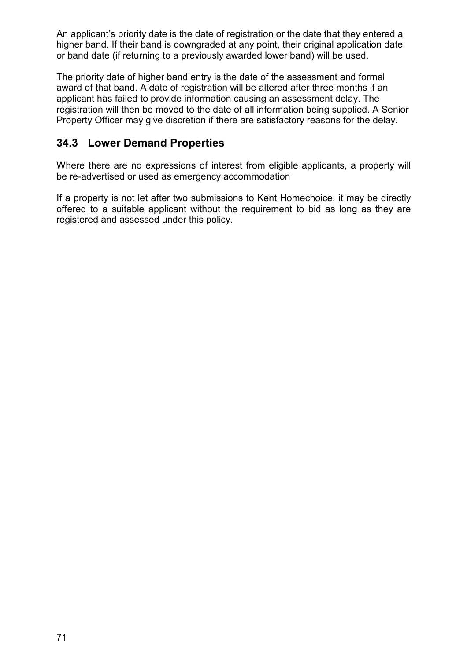An applicant's priority date is the date of registration or the date that they entered a higher band. If their band is downgraded at any point, their original application date or band date (if returning to a previously awarded lower band) will be used.

The priority date of higher band entry is the date of the assessment and formal award of that band. A date of registration will be altered after three months if an applicant has failed to provide information causing an assessment delay. The registration will then be moved to the date of all information being supplied. A Senior Property Officer may give discretion if there are satisfactory reasons for the delay.

# **34.3 Lower Demand Properties**

Where there are no expressions of interest from eligible applicants, a property will be re-advertised or used as emergency accommodation

If a property is not let after two submissions to Kent Homechoice, it may be directly offered to a suitable applicant without the requirement to bid as long as they are registered and assessed under this policy.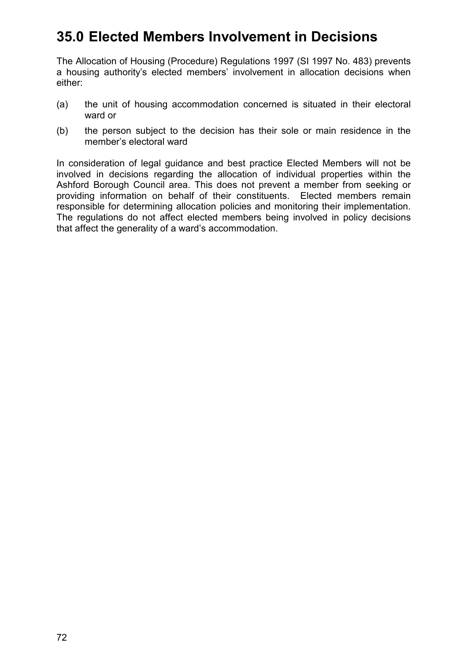# **35.0 Elected Members Involvement in Decisions**

The Allocation of Housing (Procedure) Regulations 1997 (SI 1997 No. 483) prevents a housing authority's elected members' involvement in allocation decisions when either:

- (a) the unit of housing accommodation concerned is situated in their electoral ward or
- (b) the person subject to the decision has their sole or main residence in the member's electoral ward

In consideration of legal guidance and best practice Elected Members will not be involved in decisions regarding the allocation of individual properties within the Ashford Borough Council area. This does not prevent a member from seeking or providing information on behalf of their constituents. Elected members remain responsible for determining allocation policies and monitoring their implementation. The regulations do not affect elected members being involved in policy decisions that affect the generality of a ward's accommodation.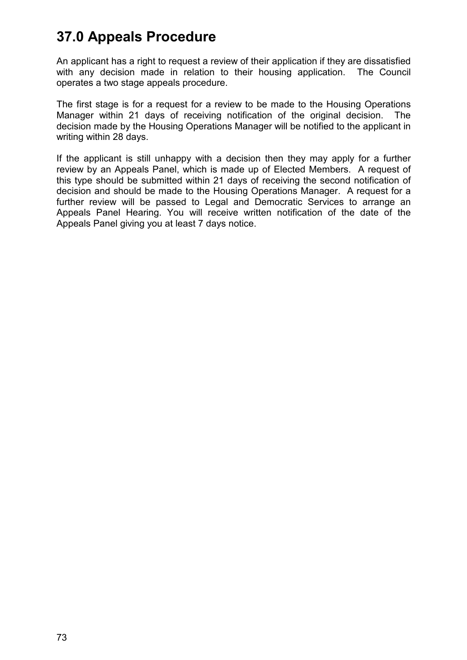# **37.0 Appeals Procedure**

An applicant has a right to request a review of their application if they are dissatisfied with any decision made in relation to their housing application. The Council operates a two stage appeals procedure.

The first stage is for a request for a review to be made to the Housing Operations Manager within 21 days of receiving notification of the original decision. The decision made by the Housing Operations Manager will be notified to the applicant in writing within 28 days.

If the applicant is still unhappy with a decision then they may apply for a further review by an Appeals Panel, which is made up of Elected Members. A request of this type should be submitted within 21 days of receiving the second notification of decision and should be made to the Housing Operations Manager. A request for a further review will be passed to Legal and Democratic Services to arrange an Appeals Panel Hearing. You will receive written notification of the date of the Appeals Panel giving you at least 7 days notice.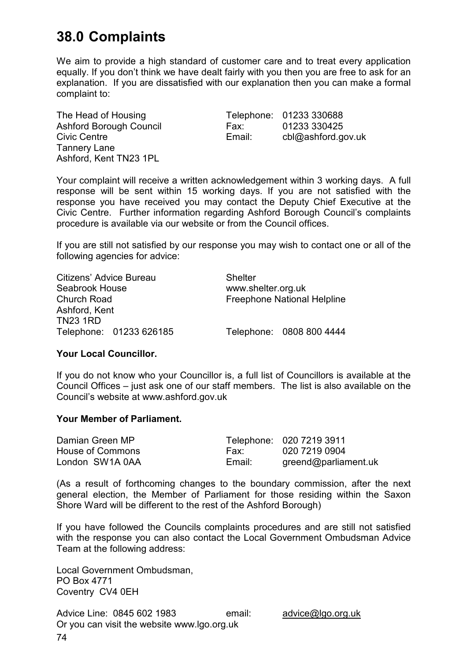# **38.0 Complaints**

We aim to provide a high standard of customer care and to treat every application equally. If you don't think we have dealt fairly with you then you are free to ask for an explanation. If you are dissatisfied with our explanation then you can make a formal complaint to:

Tannery Lane Ashford, Kent TN23 1PL

The Head of Housing Telephone: 01233 330688 Ashford Borough Council Fax: 01233 330425 Civic Centre Email: cbl@ashford.gov.uk

Your complaint will receive a written acknowledgement within 3 working days. A full response will be sent within 15 working days. If you are not satisfied with the response you have received you may contact the Deputy Chief Executive at the Civic Centre. Further information regarding Ashford Borough Council's complaints procedure is available via our website or from the Council offices.

If you are still not satisfied by our response you may wish to contact one or all of the following agencies for advice:

| Citizens' Advice Bureau | <b>Shelter</b>                     |  |
|-------------------------|------------------------------------|--|
| Seabrook House          | www.shelter.org.uk                 |  |
| <b>Church Road</b>      | <b>Freephone National Helpline</b> |  |
| Ashford, Kent           |                                    |  |
| <b>TN23 1RD</b>         |                                    |  |
| Telephone: 01233 626185 | Telephone: 0808 800 4444           |  |

### **Your Local Councillor.**

If you do not know who your Councillor is, a full list of Councillors is available at the Council Offices – just ask one of our staff members. The list is also available on the Council's website at [www.ashford.gov.uk](http://www.ashford.gov.uk/) 

#### **Your Member of Parliament.**

| Damian Green MP  |        | Telephone: 020 7219 3911 |
|------------------|--------|--------------------------|
| House of Commons | Fax:   | 020 7219 0904            |
| London SW1A 0AA  | Email: | greend@parliament.uk     |

(As a result of forthcoming changes to the boundary commission, after the next general election, the Member of Parliament for those residing within the Saxon Shore Ward will be different to the rest of the Ashford Borough)

If you have followed the Councils complaints procedures and are still not satisfied with the response you can also contact the Local Government Ombudsman Advice Team at the following address:

Local Government Ombudsman, PO Box 4771 Coventry CV4 0EH

Advice Line: 0845 602 1983 email: advice@lgo.org.uk Or you can visit the website www.lgo.org.uk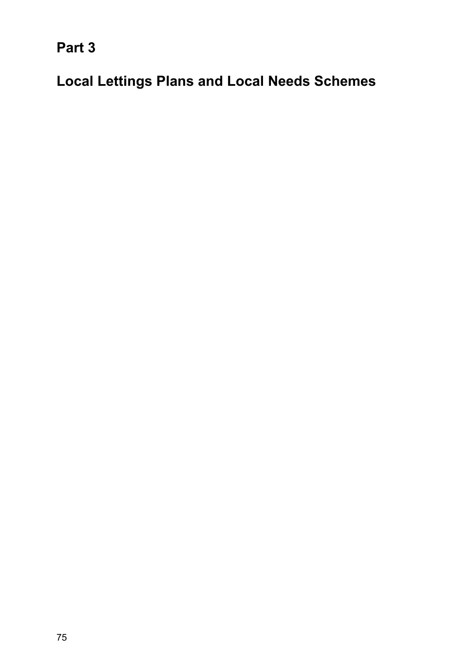**Part 3** 

**Local Lettings Plans and Local Needs Schemes**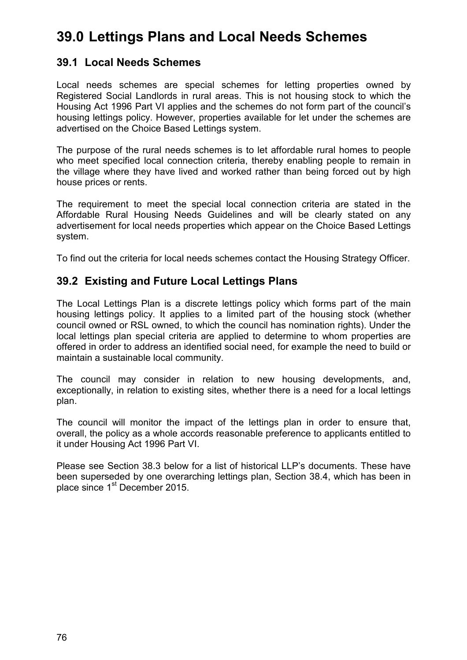# **39.0 Lettings Plans and Local Needs Schemes**

## **39.1 Local Needs Schemes**

Local needs schemes are special schemes for letting properties owned by Registered Social Landlords in rural areas. This is not housing stock to which the Housing Act 1996 Part VI applies and the schemes do not form part of the council's housing lettings policy. However, properties available for let under the schemes are advertised on the Choice Based Lettings system.

The purpose of the rural needs schemes is to let affordable rural homes to people who meet specified local connection criteria, thereby enabling people to remain in the village where they have lived and worked rather than being forced out by high house prices or rents.

The requirement to meet the special local connection criteria are stated in the Affordable Rural Housing Needs Guidelines and will be clearly stated on any advertisement for local needs properties which appear on the Choice Based Lettings system.

To find out the criteria for local needs schemes contact the Housing Strategy Officer.

# **39.2 Existing and Future Local Lettings Plans**

The Local Lettings Plan is a discrete lettings policy which forms part of the main housing lettings policy. It applies to a limited part of the housing stock (whether council owned or RSL owned, to which the council has nomination rights). Under the local lettings plan special criteria are applied to determine to whom properties are offered in order to address an identified social need, for example the need to build or maintain a sustainable local community.

The council may consider in relation to new housing developments, and, exceptionally, in relation to existing sites, whether there is a need for a local lettings plan.

The council will monitor the impact of the lettings plan in order to ensure that, overall, the policy as a whole accords reasonable preference to applicants entitled to it under Housing Act 1996 Part VI.

Please see Section 38.3 below for a list of historical LLP's documents. These have been superseded by one overarching lettings plan, Section 38.4, which has been in place since 1<sup>st</sup> December 2015.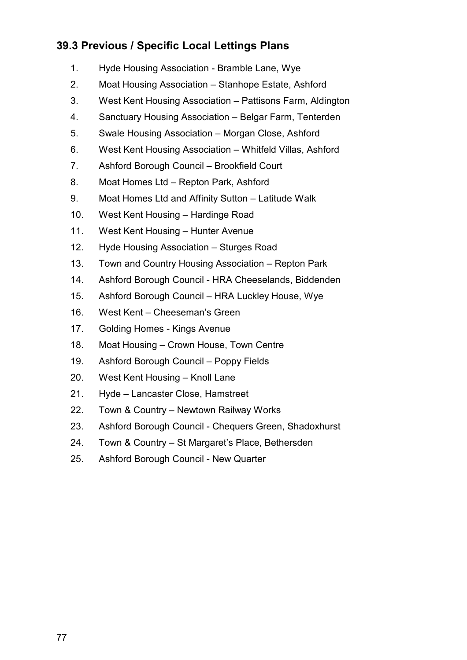# **39.3 Previous / Specific Local Lettings Plans**

- 1. Hyde Housing Association Bramble Lane, Wye
- 2. Moat Housing Association Stanhope Estate, Ashford
- 3. West Kent Housing Association Pattisons Farm, Aldington
- 4. Sanctuary Housing Association Belgar Farm, Tenterden
- 5. Swale Housing Association Morgan Close, Ashford
- 6. West Kent Housing Association Whitfeld Villas, Ashford
- 7. Ashford Borough Council Brookfield Court
- 8. Moat Homes Ltd Repton Park, Ashford
- 9. Moat Homes Ltd and Affinity Sutton Latitude Walk
- 10. West Kent Housing Hardinge Road
- 11. West Kent Housing Hunter Avenue
- 12. Hyde Housing Association Sturges Road
- 13. Town and Country Housing Association Repton Park
- 14. Ashford Borough Council HRA Cheeselands, Biddenden
- 15. Ashford Borough Council HRA Luckley House, Wye
- 16. West Kent Cheeseman's Green
- 17. Golding Homes Kings Avenue
- 18. Moat Housing Crown House, Town Centre
- 19. Ashford Borough Council Poppy Fields
- 20. West Kent Housing Knoll Lane
- 21. Hyde Lancaster Close, Hamstreet
- 22. Town & Country Newtown Railway Works
- 23. Ashford Borough Council Chequers Green, Shadoxhurst
- 24. Town & Country St Margaret's Place, Bethersden
- 25. Ashford Borough Council New Quarter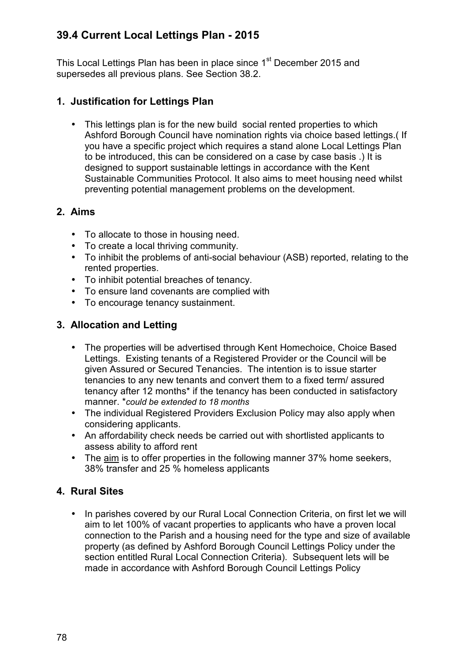# **39.4 Current Local Lettings Plan - 2015**

This Local Lettings Plan has been in place since 1<sup>st</sup> December 2015 and supersedes all previous plans. See Section 38.2.

## **1. Justification for Lettings Plan**

• This lettings plan is for the new build social rented properties to which Ashford Borough Council have nomination rights via choice based lettings.( If you have a specific project which requires a stand alone Local Lettings Plan to be introduced, this can be considered on a case by case basis .) It is designed to support sustainable lettings in accordance with the Kent Sustainable Communities Protocol. It also aims to meet housing need whilst preventing potential management problems on the development.

## **2. Aims**

- To allocate to those in housing need.
- To create a local thriving community.
- To inhibit the problems of anti-social behaviour (ASB) reported, relating to the rented properties.
- To inhibit potential breaches of tenancy.
- To ensure land covenants are complied with
- To encourage tenancy sustainment.

### **3. Allocation and Letting**

- The properties will be advertised through Kent Homechoice, Choice Based Lettings. Existing tenants of a Registered Provider or the Council will be given Assured or Secured Tenancies. The intention is to issue starter tenancies to any new tenants and convert them to a fixed term/ assured tenancy after 12 months\* if the tenancy has been conducted in satisfactory manner. \**could be extended to 18 months*
- The individual Registered Providers Exclusion Policy may also apply when considering applicants.
- An affordability check needs be carried out with shortlisted applicants to assess ability to afford rent
- The aim is to offer properties in the following manner 37% home seekers, 38% transfer and 25 % homeless applicants

## **4. Rural Sites**

• In parishes covered by our Rural Local Connection Criteria, on first let we will aim to let 100% of vacant properties to applicants who have a proven local connection to the Parish and a housing need for the type and size of available property (as defined by Ashford Borough Council Lettings Policy under the section entitled Rural Local Connection Criteria). Subsequent lets will be made in accordance with Ashford Borough Council Lettings Policy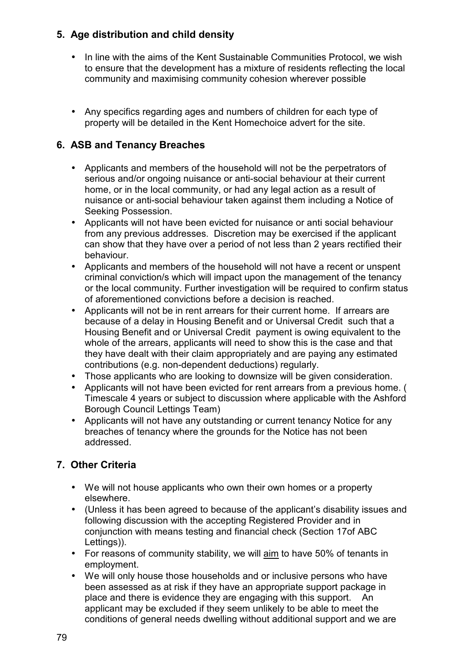# **5. Age distribution and child density**

- In line with the aims of the Kent Sustainable Communities Protocol, we wish to ensure that the development has a mixture of residents reflecting the local community and maximising community cohesion wherever possible
- Any specifics regarding ages and numbers of children for each type of property will be detailed in the Kent Homechoice advert for the site.

# **6. ASB and Tenancy Breaches**

- Applicants and members of the household will not be the perpetrators of serious and/or ongoing nuisance or anti-social behaviour at their current home, or in the local community, or had any legal action as a result of nuisance or anti-social behaviour taken against them including a Notice of Seeking Possession.
- Applicants will not have been evicted for nuisance or anti social behaviour from any previous addresses. Discretion may be exercised if the applicant can show that they have over a period of not less than 2 years rectified their behaviour.
- Applicants and members of the household will not have a recent or unspent criminal conviction/s which will impact upon the management of the tenancy or the local community. Further investigation will be required to confirm status of aforementioned convictions before a decision is reached.
- Applicants will not be in rent arrears for their current home. If arrears are because of a delay in Housing Benefit and or Universal Credit such that a Housing Benefit and or Universal Credit payment is owing equivalent to the whole of the arrears, applicants will need to show this is the case and that they have dealt with their claim appropriately and are paying any estimated contributions (e.g. non-dependent deductions) regularly.
- Those applicants who are looking to downsize will be given consideration.
- Applicants will not have been evicted for rent arrears from a previous home. ( Timescale 4 years or subject to discussion where applicable with the Ashford Borough Council Lettings Team)
- Applicants will not have any outstanding or current tenancy Notice for any breaches of tenancy where the grounds for the Notice has not been addressed.

# **7. Other Criteria**

- We will not house applicants who own their own homes or a property elsewhere.
- (Unless it has been agreed to because of the applicant's disability issues and following discussion with the accepting Registered Provider and in conjunction with means testing and financial check (Section 17of ABC Lettings)).
- For reasons of community stability, we will aim to have 50% of tenants in employment.
- We will only house those households and or inclusive persons who have been assessed as at risk if they have an appropriate support package in place and there is evidence they are engaging with this support. An applicant may be excluded if they seem unlikely to be able to meet the conditions of general needs dwelling without additional support and we are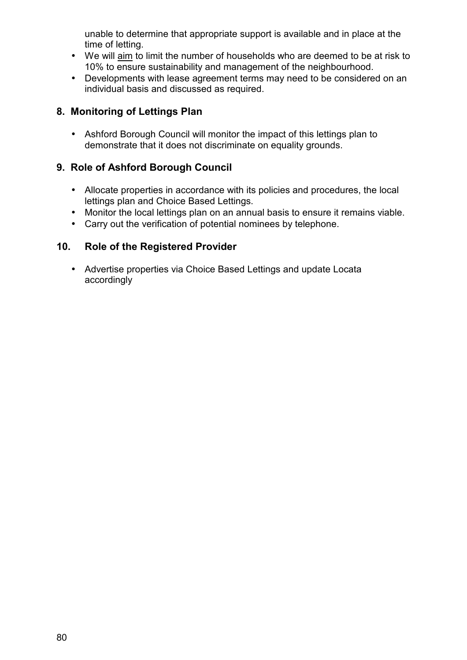unable to determine that appropriate support is available and in place at the time of letting.

- We will aim to limit the number of households who are deemed to be at risk to 10% to ensure sustainability and management of the neighbourhood.
- Developments with lease agreement terms may need to be considered on an individual basis and discussed as required.

### **8. Monitoring of Lettings Plan**

• Ashford Borough Council will monitor the impact of this lettings plan to demonstrate that it does not discriminate on equality grounds.

### **9. Role of Ashford Borough Council**

- Allocate properties in accordance with its policies and procedures, the local lettings plan and Choice Based Lettings.
- Monitor the local lettings plan on an annual basis to ensure it remains viable.
- Carry out the verification of potential nominees by telephone.

### **10. Role of the Registered Provider**

• Advertise properties via Choice Based Lettings and update Locata accordingly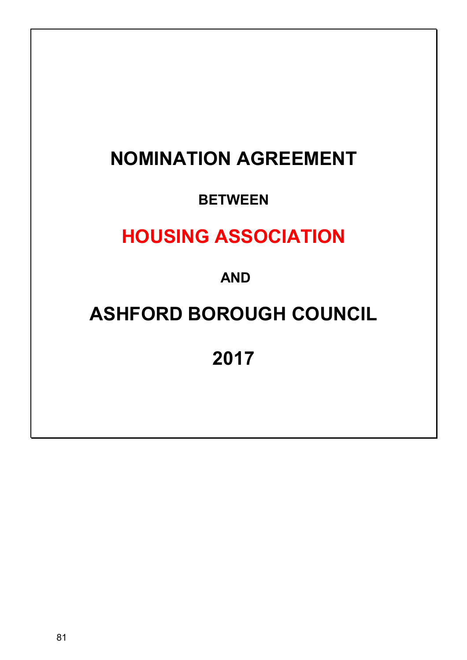# **NOMINATION AGREEMENT**

# **BETWEEN**

# **HOUSING ASSOCIATION**

 **AND** 

# **ASHFORD BOROUGH COUNCIL**

**2017**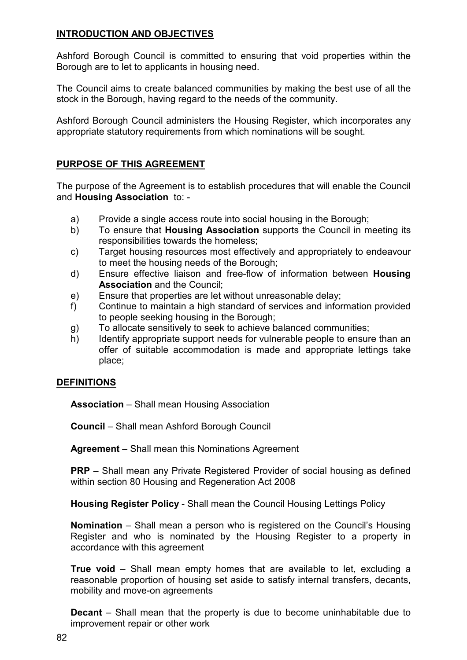### **INTRODUCTION AND OBJECTIVES**

Ashford Borough Council is committed to ensuring that void properties within the Borough are to let to applicants in housing need.

The Council aims to create balanced communities by making the best use of all the stock in the Borough, having regard to the needs of the community.

Ashford Borough Council administers the Housing Register, which incorporates any appropriate statutory requirements from which nominations will be sought.

### **PURPOSE OF THIS AGREEMENT**

The purpose of the Agreement is to establish procedures that will enable the Council and **Housing Association** to: -

- a) Provide a single access route into social housing in the Borough;
- b) To ensure that **Housing Association** supports the Council in meeting its responsibilities towards the homeless;
- c) Target housing resources most effectively and appropriately to endeavour to meet the housing needs of the Borough;
- d) Ensure effective liaison and free-flow of information between **Housing Association** and the Council;
- e) Ensure that properties are let without unreasonable delay;
- f) Continue to maintain a high standard of services and information provided to people seeking housing in the Borough;
- g) To allocate sensitively to seek to achieve balanced communities;
- h) Identify appropriate support needs for vulnerable people to ensure than an offer of suitable accommodation is made and appropriate lettings take place;

### **DEFINITIONS**

**Association** – Shall mean Housing Association

**Council** – Shall mean Ashford Borough Council

**Agreement** – Shall mean this Nominations Agreement

**PRP** – Shall mean any Private Registered Provider of social housing as defined within section 80 Housing and Regeneration Act 2008

**Housing Register Policy** - Shall mean the Council Housing Lettings Policy

**Nomination** – Shall mean a person who is registered on the Council's Housing Register and who is nominated by the Housing Register to a property in accordance with this agreement

**True void** – Shall mean empty homes that are available to let, excluding a reasonable proportion of housing set aside to satisfy internal transfers, decants, mobility and move-on agreements

**Decant** – Shall mean that the property is due to become uninhabitable due to improvement repair or other work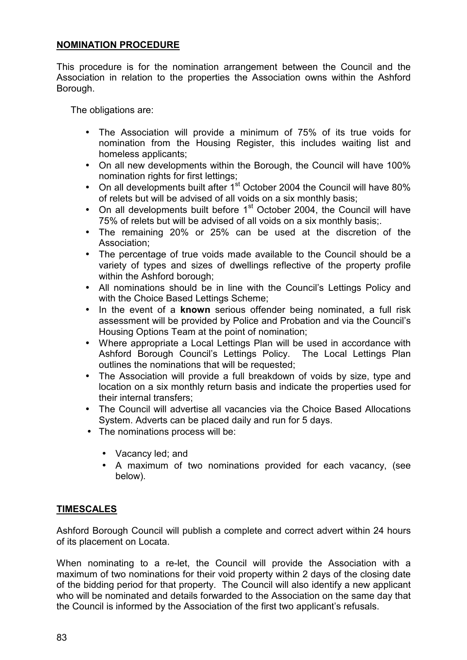### **NOMINATION PROCEDURE**

This procedure is for the nomination arrangement between the Council and the Association in relation to the properties the Association owns within the Ashford Borough.

The obligations are:

- The Association will provide a minimum of 75% of its true voids for nomination from the Housing Register, this includes waiting list and homeless applicants;
- On all new developments within the Borough, the Council will have 100% nomination rights for first lettings:
- On all developments built after  $1<sup>st</sup>$  October 2004 the Council will have 80% of relets but will be advised of all voids on a six monthly basis;
- On all developments built before  $1<sup>st</sup>$  October 2004, the Council will have 75% of relets but will be advised of all voids on a six monthly basis;.
- The remaining 20% or 25% can be used at the discretion of the Association;
- The percentage of true voids made available to the Council should be a variety of types and sizes of dwellings reflective of the property profile within the Ashford borough;
- All nominations should be in line with the Council's Lettings Policy and with the Choice Based Lettings Scheme:
- In the event of a **known** serious offender being nominated, a full risk assessment will be provided by Police and Probation and via the Council's Housing Options Team at the point of nomination;
- Where appropriate a Local Lettings Plan will be used in accordance with Ashford Borough Council's Lettings Policy. The Local Lettings Plan outlines the nominations that will be requested;
- The Association will provide a full breakdown of voids by size, type and location on a six monthly return basis and indicate the properties used for their internal transfers;
- The Council will advertise all vacancies via the Choice Based Allocations System. Adverts can be placed daily and run for 5 days.
- The nominations process will be:
	- Vacancy led; and
	- A maximum of two nominations provided for each vacancy, (see below).

### **TIMESCALES**

Ashford Borough Council will publish a complete and correct advert within 24 hours of its placement on Locata.

When nominating to a re-let, the Council will provide the Association with a maximum of two nominations for their void property within 2 days of the closing date of the bidding period for that property. The Council will also identify a new applicant who will be nominated and details forwarded to the Association on the same day that the Council is informed by the Association of the first two applicant's refusals.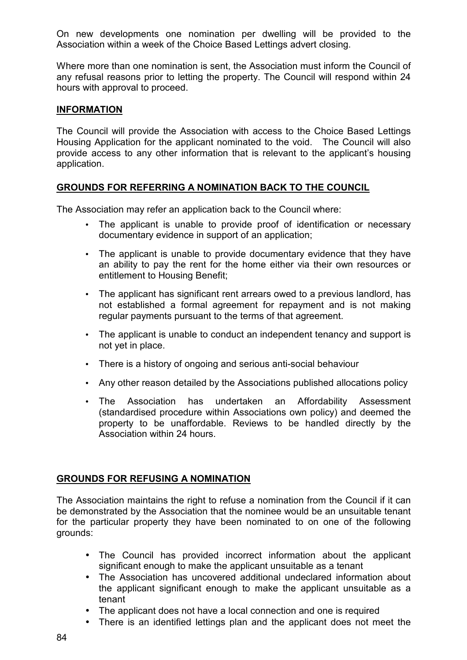On new developments one nomination per dwelling will be provided to the Association within a week of the Choice Based Lettings advert closing.

Where more than one nomination is sent, the Association must inform the Council of any refusal reasons prior to letting the property. The Council will respond within 24 hours with approval to proceed.

### **INFORMATION**

The Council will provide the Association with access to the Choice Based Lettings Housing Application for the applicant nominated to the void. The Council will also provide access to any other information that is relevant to the applicant's housing application.

### **GROUNDS FOR REFERRING A NOMINATION BACK TO THE COUNCIL**

The Association may refer an application back to the Council where:

- The applicant is unable to provide proof of identification or necessary documentary evidence in support of an application;
- The applicant is unable to provide documentary evidence that they have an ability to pay the rent for the home either via their own resources or entitlement to Housing Benefit;
- The applicant has significant rent arrears owed to a previous landlord, has not established a formal agreement for repayment and is not making regular payments pursuant to the terms of that agreement.
- The applicant is unable to conduct an independent tenancy and support is not yet in place.
- There is a history of ongoing and serious anti-social behaviour
- Any other reason detailed by the Associations published allocations policy
- The Association has undertaken an Affordability Assessment (standardised procedure within Associations own policy) and deemed the property to be unaffordable. Reviews to be handled directly by the Association within 24 hours.

### **GROUNDS FOR REFUSING A NOMINATION**

The Association maintains the right to refuse a nomination from the Council if it can be demonstrated by the Association that the nominee would be an unsuitable tenant for the particular property they have been nominated to on one of the following grounds:

- The Council has provided incorrect information about the applicant significant enough to make the applicant unsuitable as a tenant
- The Association has uncovered additional undeclared information about the applicant significant enough to make the applicant unsuitable as a tenant
- The applicant does not have a local connection and one is required
- There is an identified lettings plan and the applicant does not meet the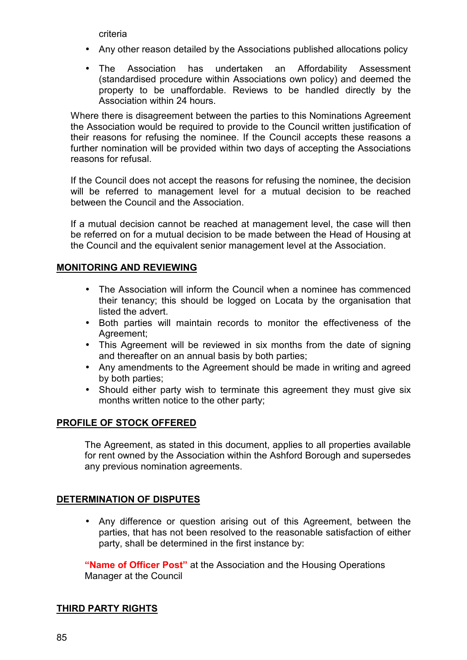criteria

- Any other reason detailed by the Associations published allocations policy
- The Association has undertaken an Affordability Assessment (standardised procedure within Associations own policy) and deemed the property to be unaffordable. Reviews to be handled directly by the Association within 24 hours.

Where there is disagreement between the parties to this Nominations Agreement the Association would be required to provide to the Council written justification of their reasons for refusing the nominee. If the Council accepts these reasons a further nomination will be provided within two days of accepting the Associations reasons for refusal.

If the Council does not accept the reasons for refusing the nominee, the decision will be referred to management level for a mutual decision to be reached between the Council and the Association.

If a mutual decision cannot be reached at management level, the case will then be referred on for a mutual decision to be made between the Head of Housing at the Council and the equivalent senior management level at the Association.

### **MONITORING AND REVIEWING**

- The Association will inform the Council when a nominee has commenced their tenancy; this should be logged on Locata by the organisation that listed the advert.
- Both parties will maintain records to monitor the effectiveness of the Agreement;
- This Agreement will be reviewed in six months from the date of signing and thereafter on an annual basis by both parties;
- Any amendments to the Agreement should be made in writing and agreed by both parties;
- Should either party wish to terminate this agreement they must give six months written notice to the other party;

### **PROFILE OF STOCK OFFERED**

The Agreement, as stated in this document, applies to all properties available for rent owned by the Association within the Ashford Borough and supersedes any previous nomination agreements.

### **DETERMINATION OF DISPUTES**

• Any difference or question arising out of this Agreement, between the parties, that has not been resolved to the reasonable satisfaction of either party, shall be determined in the first instance by:

**"Name of Officer Post"** at the Association and the Housing Operations Manager at the Council

### **THIRD PARTY RIGHTS**